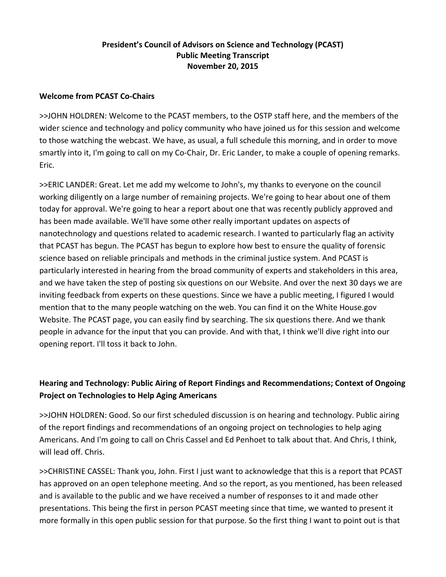## **President's Council of Advisors on Science and Technology (PCAST) Public Meeting Transcript November 20, 2015**

### **Welcome from PCAST Co‐Chairs**

>>JOHN HOLDREN: Welcome to the PCAST members, to the OSTP staff here, and the members of the wider science and technology and policy community who have joined us for this session and welcome to those watching the webcast. We have, as usual, a full schedule this morning, and in order to move smartly into it, I'm going to call on my Co-Chair, Dr. Eric Lander, to make a couple of opening remarks. Eric.

>>ERIC LANDER: Great. Let me add my welcome to John's, my thanks to everyone on the council working diligently on a large number of remaining projects. We're going to hear about one of them today for approval. We're going to hear a report about one that was recently publicly approved and has been made available. We'll have some other really important updates on aspects of nanotechnology and questions related to academic research. I wanted to particularly flag an activity that PCAST has begun. The PCAST has begun to explore how best to ensure the quality of forensic science based on reliable principals and methods in the criminal justice system. And PCAST is particularly interested in hearing from the broad community of experts and stakeholders in this area, and we have taken the step of posting six questions on our Website. And over the next 30 days we are inviting feedback from experts on these questions. Since we have a public meeting, I figured I would mention that to the many people watching on the web. You can find it on the White House.gov Website. The PCAST page, you can easily find by searching. The six questions there. And we thank people in advance for the input that you can provide. And with that, I think we'll dive right into our opening report. I'll toss it back to John.

# **Hearing and Technology: Public Airing of Report Findings and Recommendations; Context of Ongoing Project on Technologies to Help Aging Americans**

>>JOHN HOLDREN: Good. So our first scheduled discussion is on hearing and technology. Public airing of the report findings and recommendations of an ongoing project on technologies to help aging Americans. And I'm going to call on Chris Cassel and Ed Penhoet to talk about that. And Chris, I think, will lead off. Chris.

>>CHRISTINE CASSEL: Thank you, John. First I just want to acknowledge that this is a report that PCAST has approved on an open telephone meeting. And so the report, as you mentioned, has been released and is available to the public and we have received a number of responses to it and made other presentations. This being the first in person PCAST meeting since that time, we wanted to present it more formally in this open public session for that purpose. So the first thing I want to point out is that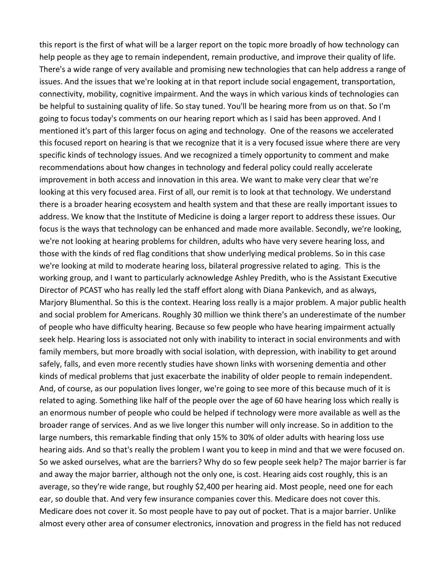this report is the first of what will be a larger report on the topic more broadly of how technology can help people as they age to remain independent, remain productive, and improve their quality of life. There's a wide range of very available and promising new technologies that can help address a range of issues. And the issues that we're looking at in that report include social engagement, transportation, connectivity, mobility, cognitive impairment. And the ways in which various kinds of technologies can be helpful to sustaining quality of life. So stay tuned. You'll be hearing more from us on that. So I'm going to focus today's comments on our hearing report which as I said has been approved. And I mentioned it's part of this larger focus on aging and technology. One of the reasons we accelerated this focused report on hearing is that we recognize that it is a very focused issue where there are very specific kinds of technology issues. And we recognized a timely opportunity to comment and make recommendations about how changes in technology and federal policy could really accelerate improvement in both access and innovation in this area. We want to make very clear that we're looking at this very focused area. First of all, our remit is to look at that technology. We understand there is a broader hearing ecosystem and health system and that these are really important issues to address. We know that the Institute of Medicine is doing a larger report to address these issues. Our focus is the ways that technology can be enhanced and made more available. Secondly, we're looking, we're not looking at hearing problems for children, adults who have very severe hearing loss, and those with the kinds of red flag conditions that show underlying medical problems. So in this case we're looking at mild to moderate hearing loss, bilateral progressive related to aging. This is the working group, and I want to particularly acknowledge Ashley Predith, who is the Assistant Executive Director of PCAST who has really led the staff effort along with Diana Pankevich, and as always, Marjory Blumenthal. So this is the context. Hearing loss really is a major problem. A major public health and social problem for Americans. Roughly 30 million we think there's an underestimate of the number of people who have difficulty hearing. Because so few people who have hearing impairment actually seek help. Hearing loss is associated not only with inability to interact in social environments and with family members, but more broadly with social isolation, with depression, with inability to get around safely, falls, and even more recently studies have shown links with worsening dementia and other kinds of medical problems that just exacerbate the inability of older people to remain independent. And, of course, as our population lives longer, we're going to see more of this because much of it is related to aging. Something like half of the people over the age of 60 have hearing loss which really is an enormous number of people who could be helped if technology were more available as well as the broader range of services. And as we live longer this number will only increase. So in addition to the large numbers, this remarkable finding that only 15% to 30% of older adults with hearing loss use hearing aids. And so that's really the problem I want you to keep in mind and that we were focused on. So we asked ourselves, what are the barriers? Why do so few people seek help? The major barrier is far and away the major barrier, although not the only one, is cost. Hearing aids cost roughly, this is an average, so they're wide range, but roughly \$2,400 per hearing aid. Most people, need one for each ear, so double that. And very few insurance companies cover this. Medicare does not cover this. Medicare does not cover it. So most people have to pay out of pocket. That is a major barrier. Unlike almost every other area of consumer electronics, innovation and progress in the field has not reduced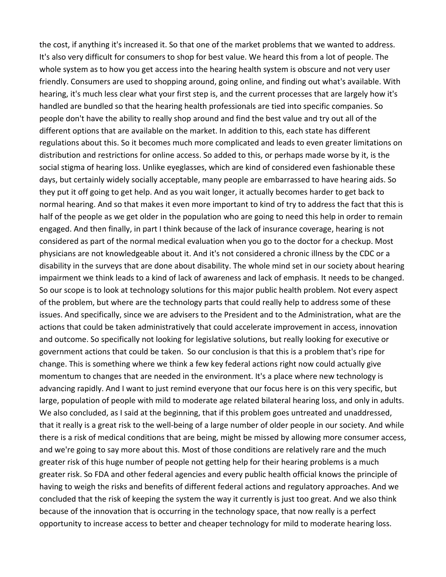the cost, if anything it's increased it. So that one of the market problems that we wanted to address. It's also very difficult for consumers to shop for best value. We heard this from a lot of people. The whole system as to how you get access into the hearing health system is obscure and not very user friendly. Consumers are used to shopping around, going online, and finding out what's available. With hearing, it's much less clear what your first step is, and the current processes that are largely how it's handled are bundled so that the hearing health professionals are tied into specific companies. So people don't have the ability to really shop around and find the best value and try out all of the different options that are available on the market. In addition to this, each state has different regulations about this. So it becomes much more complicated and leads to even greater limitations on distribution and restrictions for online access. So added to this, or perhaps made worse by it, is the social stigma of hearing loss. Unlike eyeglasses, which are kind of considered even fashionable these days, but certainly widely socially acceptable, many people are embarrassed to have hearing aids. So they put it off going to get help. And as you wait longer, it actually becomes harder to get back to normal hearing. And so that makes it even more important to kind of try to address the fact that this is half of the people as we get older in the population who are going to need this help in order to remain engaged. And then finally, in part I think because of the lack of insurance coverage, hearing is not considered as part of the normal medical evaluation when you go to the doctor for a checkup. Most physicians are not knowledgeable about it. And it's not considered a chronic illness by the CDC or a disability in the surveys that are done about disability. The whole mind set in our society about hearing impairment we think leads to a kind of lack of awareness and lack of emphasis. It needs to be changed. So our scope is to look at technology solutions for this major public health problem. Not every aspect of the problem, but where are the technology parts that could really help to address some of these issues. And specifically, since we are advisers to the President and to the Administration, what are the actions that could be taken administratively that could accelerate improvement in access, innovation and outcome. So specifically not looking for legislative solutions, but really looking for executive or government actions that could be taken. So our conclusion is that this is a problem that's ripe for change. This is something where we think a few key federal actions right now could actually give momentum to changes that are needed in the environment. It's a place where new technology is advancing rapidly. And I want to just remind everyone that our focus here is on this very specific, but large, population of people with mild to moderate age related bilateral hearing loss, and only in adults. We also concluded, as I said at the beginning, that if this problem goes untreated and unaddressed, that it really is a great risk to the well‐being of a large number of older people in our society. And while there is a risk of medical conditions that are being, might be missed by allowing more consumer access, and we're going to say more about this. Most of those conditions are relatively rare and the much greater risk of this huge number of people not getting help for their hearing problems is a much greater risk. So FDA and other federal agencies and every public health official knows the principle of having to weigh the risks and benefits of different federal actions and regulatory approaches. And we concluded that the risk of keeping the system the way it currently is just too great. And we also think because of the innovation that is occurring in the technology space, that now really is a perfect opportunity to increase access to better and cheaper technology for mild to moderate hearing loss.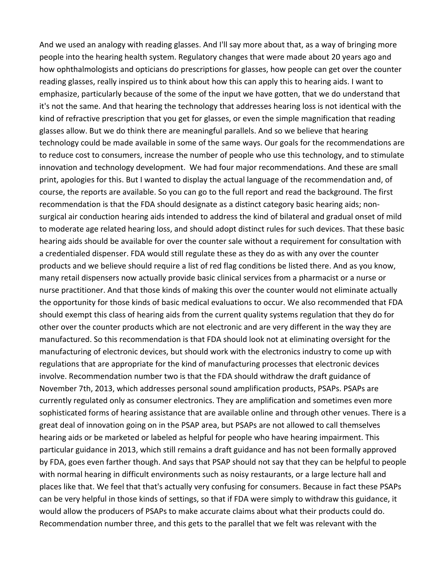And we used an analogy with reading glasses. And I'll say more about that, as a way of bringing more people into the hearing health system. Regulatory changes that were made about 20 years ago and how ophthalmologists and opticians do prescriptions for glasses, how people can get over the counter reading glasses, really inspired us to think about how this can apply this to hearing aids. I want to emphasize, particularly because of the some of the input we have gotten, that we do understand that it's not the same. And that hearing the technology that addresses hearing loss is not identical with the kind of refractive prescription that you get for glasses, or even the simple magnification that reading glasses allow. But we do think there are meaningful parallels. And so we believe that hearing technology could be made available in some of the same ways. Our goals for the recommendations are to reduce cost to consumers, increase the number of people who use this technology, and to stimulate innovation and technology development. We had four major recommendations. And these are small print, apologies for this. But I wanted to display the actual language of the recommendation and, of course, the reports are available. So you can go to the full report and read the background. The first recommendation is that the FDA should designate as a distinct category basic hearing aids; non‐ surgical air conduction hearing aids intended to address the kind of bilateral and gradual onset of mild to moderate age related hearing loss, and should adopt distinct rules for such devices. That these basic hearing aids should be available for over the counter sale without a requirement for consultation with a credentialed dispenser. FDA would still regulate these as they do as with any over the counter products and we believe should require a list of red flag conditions be listed there. And as you know, many retail dispensers now actually provide basic clinical services from a pharmacist or a nurse or nurse practitioner. And that those kinds of making this over the counter would not eliminate actually the opportunity for those kinds of basic medical evaluations to occur. We also recommended that FDA should exempt this class of hearing aids from the current quality systems regulation that they do for other over the counter products which are not electronic and are very different in the way they are manufactured. So this recommendation is that FDA should look not at eliminating oversight for the manufacturing of electronic devices, but should work with the electronics industry to come up with regulations that are appropriate for the kind of manufacturing processes that electronic devices involve. Recommendation number two is that the FDA should withdraw the draft guidance of November 7th, 2013, which addresses personal sound amplification products, PSAPs. PSAPs are currently regulated only as consumer electronics. They are amplification and sometimes even more sophisticated forms of hearing assistance that are available online and through other venues. There is a great deal of innovation going on in the PSAP area, but PSAPs are not allowed to call themselves hearing aids or be marketed or labeled as helpful for people who have hearing impairment. This particular guidance in 2013, which still remains a draft guidance and has not been formally approved by FDA, goes even farther though. And says that PSAP should not say that they can be helpful to people with normal hearing in difficult environments such as noisy restaurants, or a large lecture hall and places like that. We feel that that's actually very confusing for consumers. Because in fact these PSAPs can be very helpful in those kinds of settings, so that if FDA were simply to withdraw this guidance, it would allow the producers of PSAPs to make accurate claims about what their products could do. Recommendation number three, and this gets to the parallel that we felt was relevant with the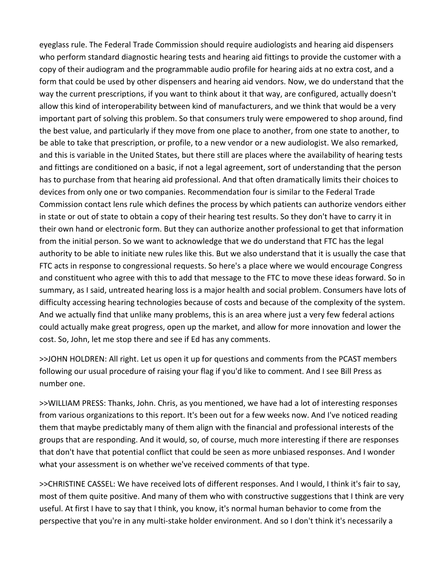eyeglass rule. The Federal Trade Commission should require audiologists and hearing aid dispensers who perform standard diagnostic hearing tests and hearing aid fittings to provide the customer with a copy of their audiogram and the programmable audio profile for hearing aids at no extra cost, and a form that could be used by other dispensers and hearing aid vendors. Now, we do understand that the way the current prescriptions, if you want to think about it that way, are configured, actually doesn't allow this kind of interoperability between kind of manufacturers, and we think that would be a very important part of solving this problem. So that consumers truly were empowered to shop around, find the best value, and particularly if they move from one place to another, from one state to another, to be able to take that prescription, or profile, to a new vendor or a new audiologist. We also remarked, and this is variable in the United States, but there still are places where the availability of hearing tests and fittings are conditioned on a basic, if not a legal agreement, sort of understanding that the person has to purchase from that hearing aid professional. And that often dramatically limits their choices to devices from only one or two companies. Recommendation four is similar to the Federal Trade Commission contact lens rule which defines the process by which patients can authorize vendors either in state or out of state to obtain a copy of their hearing test results. So they don't have to carry it in their own hand or electronic form. But they can authorize another professional to get that information from the initial person. So we want to acknowledge that we do understand that FTC has the legal authority to be able to initiate new rules like this. But we also understand that it is usually the case that FTC acts in response to congressional requests. So here's a place where we would encourage Congress and constituent who agree with this to add that message to the FTC to move these ideas forward. So in summary, as I said, untreated hearing loss is a major health and social problem. Consumers have lots of difficulty accessing hearing technologies because of costs and because of the complexity of the system. And we actually find that unlike many problems, this is an area where just a very few federal actions could actually make great progress, open up the market, and allow for more innovation and lower the cost. So, John, let me stop there and see if Ed has any comments.

>>JOHN HOLDREN: All right. Let us open it up for questions and comments from the PCAST members following our usual procedure of raising your flag if you'd like to comment. And I see Bill Press as number one.

>>WILLIAM PRESS: Thanks, John. Chris, as you mentioned, we have had a lot of interesting responses from various organizations to this report. It's been out for a few weeks now. And I've noticed reading them that maybe predictably many of them align with the financial and professional interests of the groups that are responding. And it would, so, of course, much more interesting if there are responses that don't have that potential conflict that could be seen as more unbiased responses. And I wonder what your assessment is on whether we've received comments of that type.

>>CHRISTINE CASSEL: We have received lots of different responses. And I would, I think it's fair to say, most of them quite positive. And many of them who with constructive suggestions that I think are very useful. At first I have to say that I think, you know, it's normal human behavior to come from the perspective that you're in any multi-stake holder environment. And so I don't think it's necessarily a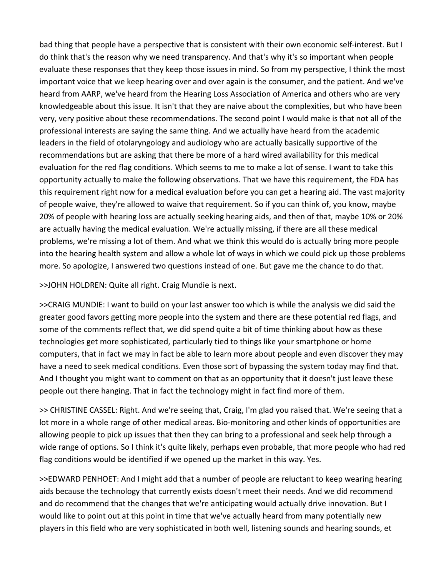bad thing that people have a perspective that is consistent with their own economic self‐interest. But I do think that's the reason why we need transparency. And that's why it's so important when people evaluate these responses that they keep those issues in mind. So from my perspective, I think the most important voice that we keep hearing over and over again is the consumer, and the patient. And we've heard from AARP, we've heard from the Hearing Loss Association of America and others who are very knowledgeable about this issue. It isn't that they are naive about the complexities, but who have been very, very positive about these recommendations. The second point I would make is that not all of the professional interests are saying the same thing. And we actually have heard from the academic leaders in the field of otolaryngology and audiology who are actually basically supportive of the recommendations but are asking that there be more of a hard wired availability for this medical evaluation for the red flag conditions. Which seems to me to make a lot of sense. I want to take this opportunity actually to make the following observations. That we have this requirement, the FDA has this requirement right now for a medical evaluation before you can get a hearing aid. The vast majority of people waive, they're allowed to waive that requirement. So if you can think of, you know, maybe 20% of people with hearing loss are actually seeking hearing aids, and then of that, maybe 10% or 20% are actually having the medical evaluation. We're actually missing, if there are all these medical problems, we're missing a lot of them. And what we think this would do is actually bring more people into the hearing health system and allow a whole lot of ways in which we could pick up those problems more. So apologize, I answered two questions instead of one. But gave me the chance to do that.

>>JOHN HOLDREN: Quite all right. Craig Mundie is next.

>>CRAIG MUNDIE: I want to build on your last answer too which is while the analysis we did said the greater good favors getting more people into the system and there are these potential red flags, and some of the comments reflect that, we did spend quite a bit of time thinking about how as these technologies get more sophisticated, particularly tied to things like your smartphone or home computers, that in fact we may in fact be able to learn more about people and even discover they may have a need to seek medical conditions. Even those sort of bypassing the system today may find that. And I thought you might want to comment on that as an opportunity that it doesn't just leave these people out there hanging. That in fact the technology might in fact find more of them.

>> CHRISTINE CASSEL: Right. And we're seeing that, Craig, I'm glad you raised that. We're seeing that a lot more in a whole range of other medical areas. Bio-monitoring and other kinds of opportunities are allowing people to pick up issues that then they can bring to a professional and seek help through a wide range of options. So I think it's quite likely, perhaps even probable, that more people who had red flag conditions would be identified if we opened up the market in this way. Yes.

>>EDWARD PENHOET: And I might add that a number of people are reluctant to keep wearing hearing aids because the technology that currently exists doesn't meet their needs. And we did recommend and do recommend that the changes that we're anticipating would actually drive innovation. But I would like to point out at this point in time that we've actually heard from many potentially new players in this field who are very sophisticated in both well, listening sounds and hearing sounds, et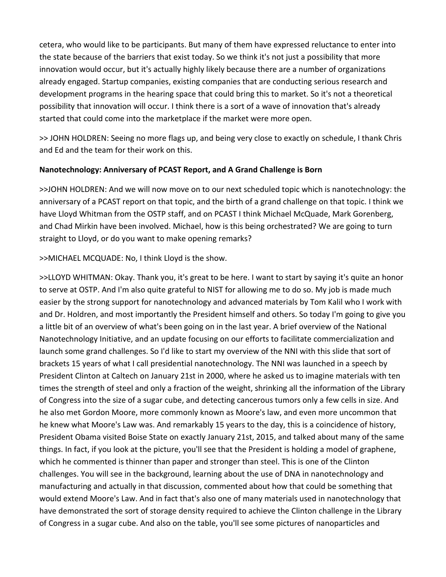cetera, who would like to be participants. But many of them have expressed reluctance to enter into the state because of the barriers that exist today. So we think it's not just a possibility that more innovation would occur, but it's actually highly likely because there are a number of organizations already engaged. Startup companies, existing companies that are conducting serious research and development programs in the hearing space that could bring this to market. So it's not a theoretical possibility that innovation will occur. I think there is a sort of a wave of innovation that's already started that could come into the marketplace if the market were more open.

>> JOHN HOLDREN: Seeing no more flags up, and being very close to exactly on schedule, I thank Chris and Ed and the team for their work on this.

## **Nanotechnology: Anniversary of PCAST Report, and A Grand Challenge is Born**

>>JOHN HOLDREN: And we will now move on to our next scheduled topic which is nanotechnology: the anniversary of a PCAST report on that topic, and the birth of a grand challenge on that topic. I think we have Lloyd Whitman from the OSTP staff, and on PCAST I think Michael McQuade, Mark Gorenberg, and Chad Mirkin have been involved. Michael, how is this being orchestrated? We are going to turn straight to Lloyd, or do you want to make opening remarks?

>>MICHAEL MCQUADE: No, I think Lloyd is the show.

>>LLOYD WHITMAN: Okay. Thank you, it's great to be here. I want to start by saying it's quite an honor to serve at OSTP. And I'm also quite grateful to NIST for allowing me to do so. My job is made much easier by the strong support for nanotechnology and advanced materials by Tom Kalil who I work with and Dr. Holdren, and most importantly the President himself and others. So today I'm going to give you a little bit of an overview of what's been going on in the last year. A brief overview of the National Nanotechnology Initiative, and an update focusing on our efforts to facilitate commercialization and launch some grand challenges. So I'd like to start my overview of the NNI with this slide that sort of brackets 15 years of what I call presidential nanotechnology. The NNI was launched in a speech by President Clinton at Caltech on January 21st in 2000, where he asked us to imagine materials with ten times the strength of steel and only a fraction of the weight, shrinking all the information of the Library of Congress into the size of a sugar cube, and detecting cancerous tumors only a few cells in size. And he also met Gordon Moore, more commonly known as Moore's law, and even more uncommon that he knew what Moore's Law was. And remarkably 15 years to the day, this is a coincidence of history, President Obama visited Boise State on exactly January 21st, 2015, and talked about many of the same things. In fact, if you look at the picture, you'll see that the President is holding a model of graphene, which he commented is thinner than paper and stronger than steel. This is one of the Clinton challenges. You will see in the background, learning about the use of DNA in nanotechnology and manufacturing and actually in that discussion, commented about how that could be something that would extend Moore's Law. And in fact that's also one of many materials used in nanotechnology that have demonstrated the sort of storage density required to achieve the Clinton challenge in the Library of Congress in a sugar cube. And also on the table, you'll see some pictures of nanoparticles and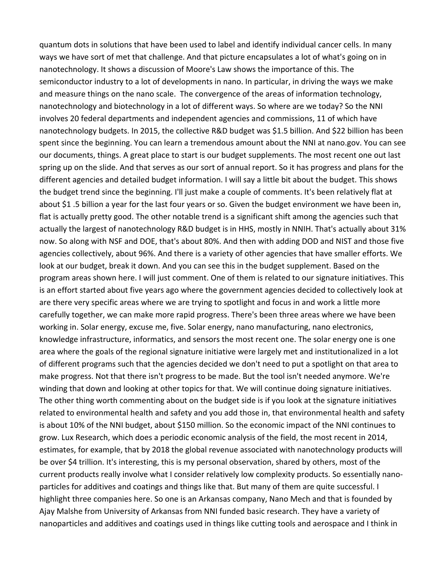quantum dots in solutions that have been used to label and identify individual cancer cells. In many ways we have sort of met that challenge. And that picture encapsulates a lot of what's going on in nanotechnology. It shows a discussion of Moore's Law shows the importance of this. The semiconductor industry to a lot of developments in nano. In particular, in driving the ways we make and measure things on the nano scale. The convergence of the areas of information technology, nanotechnology and biotechnology in a lot of different ways. So where are we today? So the NNI involves 20 federal departments and independent agencies and commissions, 11 of which have nanotechnology budgets. In 2015, the collective R&D budget was \$1.5 billion. And \$22 billion has been spent since the beginning. You can learn a tremendous amount about the NNI at nano.gov. You can see our documents, things. A great place to start is our budget supplements. The most recent one out last spring up on the slide. And that serves as our sort of annual report. So it has progress and plans for the different agencies and detailed budget information. I will say a little bit about the budget. This shows the budget trend since the beginning. I'll just make a couple of comments. It's been relatively flat at about \$1 .5 billion a year for the last four years or so. Given the budget environment we have been in, flat is actually pretty good. The other notable trend is a significant shift among the agencies such that actually the largest of nanotechnology R&D budget is in HHS, mostly in NNIH. That's actually about 31% now. So along with NSF and DOE, that's about 80%. And then with adding DOD and NIST and those five agencies collectively, about 96%. And there is a variety of other agencies that have smaller efforts. We look at our budget, break it down. And you can see this in the budget supplement. Based on the program areas shown here. I will just comment. One of them is related to our signature initiatives. This is an effort started about five years ago where the government agencies decided to collectively look at are there very specific areas where we are trying to spotlight and focus in and work a little more carefully together, we can make more rapid progress. There's been three areas where we have been working in. Solar energy, excuse me, five. Solar energy, nano manufacturing, nano electronics, knowledge infrastructure, informatics, and sensors the most recent one. The solar energy one is one area where the goals of the regional signature initiative were largely met and institutionalized in a lot of different programs such that the agencies decided we don't need to put a spotlight on that area to make progress. Not that there isn't progress to be made. But the tool isn't needed anymore. We're winding that down and looking at other topics for that. We will continue doing signature initiatives. The other thing worth commenting about on the budget side is if you look at the signature initiatives related to environmental health and safety and you add those in, that environmental health and safety is about 10% of the NNI budget, about \$150 million. So the economic impact of the NNI continues to grow. Lux Research, which does a periodic economic analysis of the field, the most recent in 2014, estimates, for example, that by 2018 the global revenue associated with nanotechnology products will be over \$4 trillion. It's interesting, this is my personal observation, shared by others, most of the current products really involve what I consider relatively low complexity products. So essentially nano‐ particles for additives and coatings and things like that. But many of them are quite successful. I highlight three companies here. So one is an Arkansas company, Nano Mech and that is founded by Ajay Malshe from University of Arkansas from NNI funded basic research. They have a variety of nanoparticles and additives and coatings used in things like cutting tools and aerospace and I think in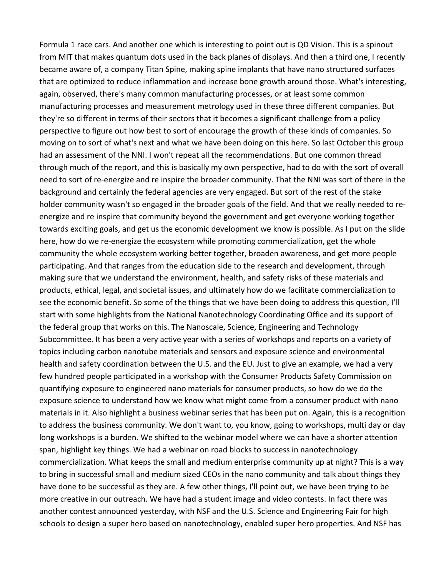Formula 1 race cars. And another one which is interesting to point out is QD Vision. This is a spinout from MIT that makes quantum dots used in the back planes of displays. And then a third one, I recently became aware of, a company Titan Spine, making spine implants that have nano structured surfaces that are optimized to reduce inflammation and increase bone growth around those. What's interesting, again, observed, there's many common manufacturing processes, or at least some common manufacturing processes and measurement metrology used in these three different companies. But they're so different in terms of their sectors that it becomes a significant challenge from a policy perspective to figure out how best to sort of encourage the growth of these kinds of companies. So moving on to sort of what's next and what we have been doing on this here. So last October this group had an assessment of the NNI. I won't repeat all the recommendations. But one common thread through much of the report, and this is basically my own perspective, had to do with the sort of overall need to sort of re‐energize and re inspire the broader community. That the NNI was sort of there in the background and certainly the federal agencies are very engaged. But sort of the rest of the stake holder community wasn't so engaged in the broader goals of the field. And that we really needed to reenergize and re inspire that community beyond the government and get everyone working together towards exciting goals, and get us the economic development we know is possible. As I put on the slide here, how do we re-energize the ecosystem while promoting commercialization, get the whole community the whole ecosystem working better together, broaden awareness, and get more people participating. And that ranges from the education side to the research and development, through making sure that we understand the environment, health, and safety risks of these materials and products, ethical, legal, and societal issues, and ultimately how do we facilitate commercialization to see the economic benefit. So some of the things that we have been doing to address this question, I'll start with some highlights from the National Nanotechnology Coordinating Office and its support of the federal group that works on this. The Nanoscale, Science, Engineering and Technology Subcommittee. It has been a very active year with a series of workshops and reports on a variety of topics including carbon nanotube materials and sensors and exposure science and environmental health and safety coordination between the U.S. and the EU. Just to give an example, we had a very few hundred people participated in a workshop with the Consumer Products Safety Commission on quantifying exposure to engineered nano materials for consumer products, so how do we do the exposure science to understand how we know what might come from a consumer product with nano materials in it. Also highlight a business webinar series that has been put on. Again, this is a recognition to address the business community. We don't want to, you know, going to workshops, multi day or day long workshops is a burden. We shifted to the webinar model where we can have a shorter attention span, highlight key things. We had a webinar on road blocks to success in nanotechnology commercialization. What keeps the small and medium enterprise community up at night? This is a way to bring in successful small and medium sized CEOs in the nano community and talk about things they have done to be successful as they are. A few other things, I'll point out, we have been trying to be more creative in our outreach. We have had a student image and video contests. In fact there was another contest announced yesterday, with NSF and the U.S. Science and Engineering Fair for high schools to design a super hero based on nanotechnology, enabled super hero properties. And NSF has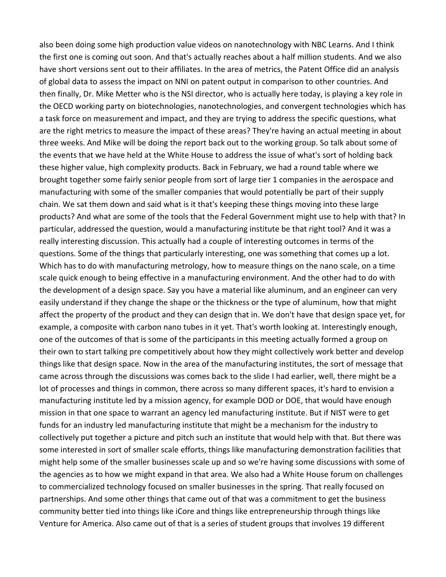also been doing some high production value videos on nanotechnology with NBC Learns. And I think the first one is coming out soon. And that's actually reaches about a half million students. And we also have short versions sent out to their affiliates. In the area of metrics, the Patent Office did an analysis of global data to assess the impact on NNI on patent output in comparison to other countries. And then finally, Dr. Mike Metter who is the NSI director, who is actually here today, is playing a key role in the OECD working party on biotechnologies, nanotechnologies, and convergent technologies which has a task force on measurement and impact, and they are trying to address the specific questions, what are the right metrics to measure the impact of these areas? They're having an actual meeting in about three weeks. And Mike will be doing the report back out to the working group. So talk about some of the events that we have held at the White House to address the issue of what's sort of holding back these higher value, high complexity products. Back in February, we had a round table where we brought together some fairly senior people from sort of large tier 1 companies in the aerospace and manufacturing with some of the smaller companies that would potentially be part of their supply chain. We sat them down and said what is it that's keeping these things moving into these large products? And what are some of the tools that the Federal Government might use to help with that? In particular, addressed the question, would a manufacturing institute be that right tool? And it was a really interesting discussion. This actually had a couple of interesting outcomes in terms of the questions. Some of the things that particularly interesting, one was something that comes up a lot. Which has to do with manufacturing metrology, how to measure things on the nano scale, on a time scale quick enough to being effective in a manufacturing environment. And the other had to do with the development of a design space. Say you have a material like aluminum, and an engineer can very easily understand if they change the shape or the thickness or the type of aluminum, how that might affect the property of the product and they can design that in. We don't have that design space yet, for example, a composite with carbon nano tubes in it yet. That's worth looking at. Interestingly enough, one of the outcomes of that is some of the participants in this meeting actually formed a group on their own to start talking pre competitively about how they might collectively work better and develop things like that design space. Now in the area of the manufacturing institutes, the sort of message that came across through the discussions was comes back to the slide I had earlier, well, there might be a lot of processes and things in common, there across so many different spaces, it's hard to envision a manufacturing institute led by a mission agency, for example DOD or DOE, that would have enough mission in that one space to warrant an agency led manufacturing institute. But if NIST were to get funds for an industry led manufacturing institute that might be a mechanism for the industry to collectively put together a picture and pitch such an institute that would help with that. But there was some interested in sort of smaller scale efforts, things like manufacturing demonstration facilities that might help some of the smaller businesses scale up and so we're having some discussions with some of the agencies as to how we might expand in that area. We also had a White House forum on challenges to commercialized technology focused on smaller businesses in the spring. That really focused on partnerships. And some other things that came out of that was a commitment to get the business community better tied into things like iCore and things like entrepreneurship through things like Venture for America. Also came out of that is a series of student groups that involves 19 different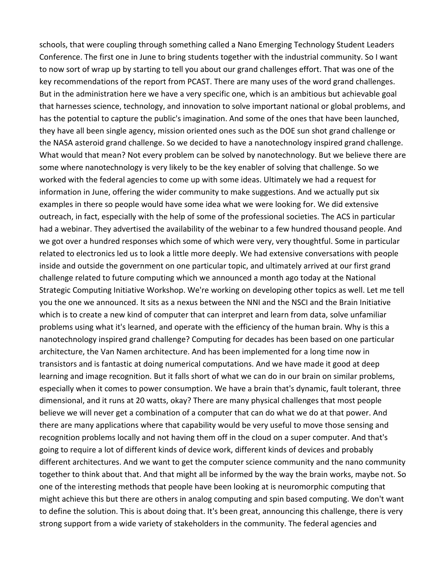schools, that were coupling through something called a Nano Emerging Technology Student Leaders Conference. The first one in June to bring students together with the industrial community. So I want to now sort of wrap up by starting to tell you about our grand challenges effort. That was one of the key recommendations of the report from PCAST. There are many uses of the word grand challenges. But in the administration here we have a very specific one, which is an ambitious but achievable goal that harnesses science, technology, and innovation to solve important national or global problems, and has the potential to capture the public's imagination. And some of the ones that have been launched, they have all been single agency, mission oriented ones such as the DOE sun shot grand challenge or the NASA asteroid grand challenge. So we decided to have a nanotechnology inspired grand challenge. What would that mean? Not every problem can be solved by nanotechnology. But we believe there are some where nanotechnology is very likely to be the key enabler of solving that challenge. So we worked with the federal agencies to come up with some ideas. Ultimately we had a request for information in June, offering the wider community to make suggestions. And we actually put six examples in there so people would have some idea what we were looking for. We did extensive outreach, in fact, especially with the help of some of the professional societies. The ACS in particular had a webinar. They advertised the availability of the webinar to a few hundred thousand people. And we got over a hundred responses which some of which were very, very thoughtful. Some in particular related to electronics led us to look a little more deeply. We had extensive conversations with people inside and outside the government on one particular topic, and ultimately arrived at our first grand challenge related to future computing which we announced a month ago today at the National Strategic Computing Initiative Workshop. We're working on developing other topics as well. Let me tell you the one we announced. It sits as a nexus between the NNI and the NSCI and the Brain Initiative which is to create a new kind of computer that can interpret and learn from data, solve unfamiliar problems using what it's learned, and operate with the efficiency of the human brain. Why is this a nanotechnology inspired grand challenge? Computing for decades has been based on one particular architecture, the Van Namen architecture. And has been implemented for a long time now in transistors and is fantastic at doing numerical computations. And we have made it good at deep learning and image recognition. But it falls short of what we can do in our brain on similar problems, especially when it comes to power consumption. We have a brain that's dynamic, fault tolerant, three dimensional, and it runs at 20 watts, okay? There are many physical challenges that most people believe we will never get a combination of a computer that can do what we do at that power. And there are many applications where that capability would be very useful to move those sensing and recognition problems locally and not having them off in the cloud on a super computer. And that's going to require a lot of different kinds of device work, different kinds of devices and probably different architectures. And we want to get the computer science community and the nano community together to think about that. And that might all be informed by the way the brain works, maybe not. So one of the interesting methods that people have been looking at is neuromorphic computing that might achieve this but there are others in analog computing and spin based computing. We don't want to define the solution. This is about doing that. It's been great, announcing this challenge, there is very strong support from a wide variety of stakeholders in the community. The federal agencies and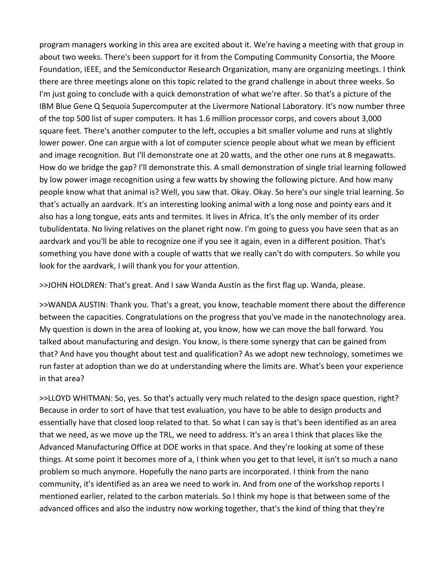program managers working in this area are excited about it. We're having a meeting with that group in about two weeks. There's been support for it from the Computing Community Consortia, the Moore Foundation, IEEE, and the Semiconductor Research Organization, many are organizing meetings. I think there are three meetings alone on this topic related to the grand challenge in about three weeks. So I'm just going to conclude with a quick demonstration of what we're after. So that's a picture of the IBM Blue Gene Q Sequoia Supercomputer at the Livermore National Laboratory. It's now number three of the top 500 list of super computers. It has 1.6 million processor corps, and covers about 3,000 square feet. There's another computer to the left, occupies a bit smaller volume and runs at slightly lower power. One can argue with a lot of computer science people about what we mean by efficient and image recognition. But I'll demonstrate one at 20 watts, and the other one runs at 8 megawatts. How do we bridge the gap? I'll demonstrate this. A small demonstration of single trial learning followed by low power image recognition using a few watts by showing the following picture. And how many people know what that animal is? Well, you saw that. Okay. Okay. So here's our single trial learning. So that's actually an aardvark. It's an interesting looking animal with a long nose and pointy ears and it also has a long tongue, eats ants and termites. It lives in Africa. It's the only member of its order tubulidentata. No living relatives on the planet right now. I'm going to guess you have seen that as an aardvark and you'll be able to recognize one if you see it again, even in a different position. That's something you have done with a couple of watts that we really can't do with computers. So while you look for the aardvark, I will thank you for your attention.

>>JOHN HOLDREN: That's great. And I saw Wanda Austin as the first flag up. Wanda, please.

>>WANDA AUSTIN: Thank you. That's a great, you know, teachable moment there about the difference between the capacities. Congratulations on the progress that you've made in the nanotechnology area. My question is down in the area of looking at, you know, how we can move the ball forward. You talked about manufacturing and design. You know, is there some synergy that can be gained from that? And have you thought about test and qualification? As we adopt new technology, sometimes we run faster at adoption than we do at understanding where the limits are. What's been your experience in that area?

>>LLOYD WHITMAN: So, yes. So that's actually very much related to the design space question, right? Because in order to sort of have that test evaluation, you have to be able to design products and essentially have that closed loop related to that. So what I can say is that's been identified as an area that we need, as we move up the TRL, we need to address. It's an area I think that places like the Advanced Manufacturing Office at DOE works in that space. And they're looking at some of these things. At some point it becomes more of a, I think when you get to that level, it isn't so much a nano problem so much anymore. Hopefully the nano parts are incorporated. I think from the nano community, it's identified as an area we need to work in. And from one of the workshop reports I mentioned earlier, related to the carbon materials. So I think my hope is that between some of the advanced offices and also the industry now working together, that's the kind of thing that they're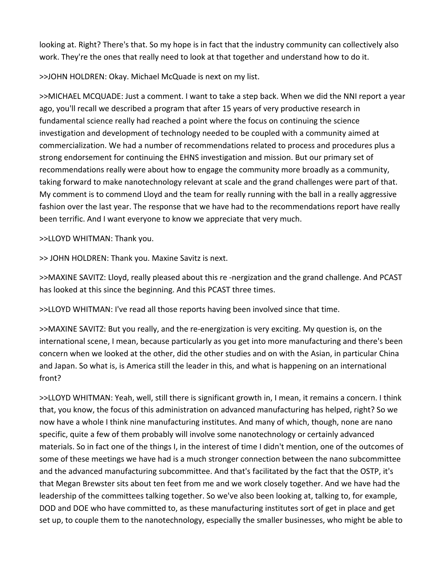looking at. Right? There's that. So my hope is in fact that the industry community can collectively also work. They're the ones that really need to look at that together and understand how to do it.

>>JOHN HOLDREN: Okay. Michael McQuade is next on my list.

>>MICHAEL MCQUADE: Just a comment. I want to take a step back. When we did the NNI report a year ago, you'll recall we described a program that after 15 years of very productive research in fundamental science really had reached a point where the focus on continuing the science investigation and development of technology needed to be coupled with a community aimed at commercialization. We had a number of recommendations related to process and procedures plus a strong endorsement for continuing the EHNS investigation and mission. But our primary set of recommendations really were about how to engage the community more broadly as a community, taking forward to make nanotechnology relevant at scale and the grand challenges were part of that. My comment is to commend Lloyd and the team for really running with the ball in a really aggressive fashion over the last year. The response that we have had to the recommendations report have really been terrific. And I want everyone to know we appreciate that very much.

>>LLOYD WHITMAN: Thank you.

>> JOHN HOLDREN: Thank you. Maxine Savitz is next.

>>MAXINE SAVITZ: Lloyd, really pleased about this re ‐nergization and the grand challenge. And PCAST has looked at this since the beginning. And this PCAST three times.

>>LLOYD WHITMAN: I've read all those reports having been involved since that time.

>>MAXINE SAVITZ: But you really, and the re‐energization is very exciting. My question is, on the international scene, I mean, because particularly as you get into more manufacturing and there's been concern when we looked at the other, did the other studies and on with the Asian, in particular China and Japan. So what is, is America still the leader in this, and what is happening on an international front?

>>LLOYD WHITMAN: Yeah, well, still there is significant growth in, I mean, it remains a concern. I think that, you know, the focus of this administration on advanced manufacturing has helped, right? So we now have a whole I think nine manufacturing institutes. And many of which, though, none are nano specific, quite a few of them probably will involve some nanotechnology or certainly advanced materials. So in fact one of the things I, in the interest of time I didn't mention, one of the outcomes of some of these meetings we have had is a much stronger connection between the nano subcommittee and the advanced manufacturing subcommittee. And that's facilitated by the fact that the OSTP, it's that Megan Brewster sits about ten feet from me and we work closely together. And we have had the leadership of the committees talking together. So we've also been looking at, talking to, for example, DOD and DOE who have committed to, as these manufacturing institutes sort of get in place and get set up, to couple them to the nanotechnology, especially the smaller businesses, who might be able to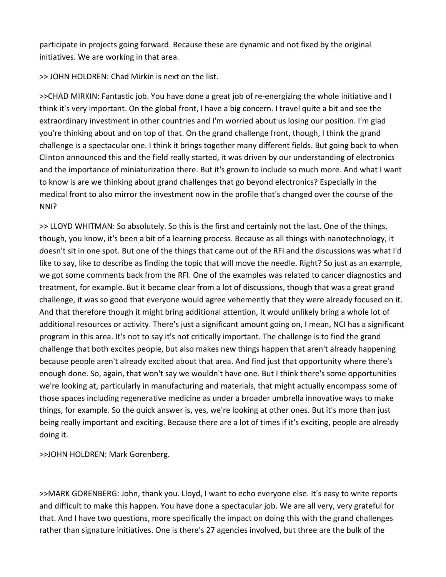participate in projects going forward. Because these are dynamic and not fixed by the original initiatives. We are working in that area.

>> JOHN HOLDREN: Chad Mirkin is next on the list.

>>CHAD MIRKIN: Fantastic job. You have done a great job of re-energizing the whole initiative and I think it's very important. On the global front, I have a big concern. I travel quite a bit and see the extraordinary investment in other countries and I'm worried about us losing our position. I'm glad you're thinking about and on top of that. On the grand challenge front, though, I think the grand challenge is a spectacular one. I think it brings together many different fields. But going back to when Clinton announced this and the field really started, it was driven by our understanding of electronics and the importance of miniaturization there. But it's grown to include so much more. And what I want to know is are we thinking about grand challenges that go beyond electronics? Especially in the medical front to also mirror the investment now in the profile that's changed over the course of the NNI?

>> LLOYD WHITMAN: So absolutely. So this is the first and certainly not the last. One of the things, though, you know, it's been a bit of a learning process. Because as all things with nanotechnology, it doesn't sit in one spot. But one of the things that came out of the RFI and the discussions was what I'd like to say, like to describe as finding the topic that will move the needle. Right? So just as an example, we got some comments back from the RFI. One of the examples was related to cancer diagnostics and treatment, for example. But it became clear from a lot of discussions, though that was a great grand challenge, it was so good that everyone would agree vehemently that they were already focused on it. And that therefore though it might bring additional attention, it would unlikely bring a whole lot of additional resources or activity. There's just a significant amount going on, I mean, NCI has a significant program in this area. It's not to say it's not critically important. The challenge is to find the grand challenge that both excites people, but also makes new things happen that aren't already happening because people aren't already excited about that area. And find just that opportunity where there's enough done. So, again, that won't say we wouldn't have one. But I think there's some opportunities we're looking at, particularly in manufacturing and materials, that might actually encompass some of those spaces including regenerative medicine as under a broader umbrella innovative ways to make things, for example. So the quick answer is, yes, we're looking at other ones. But it's more than just being really important and exciting. Because there are a lot of times if it's exciting, people are already doing it.

>>JOHN HOLDREN: Mark Gorenberg.

>>MARK GORENBERG: John, thank you. Lloyd, I want to echo everyone else. It's easy to write reports and difficult to make this happen. You have done a spectacular job. We are all very, very grateful for that. And I have two questions, more specifically the impact on doing this with the grand challenges rather than signature initiatives. One is there's 27 agencies involved, but three are the bulk of the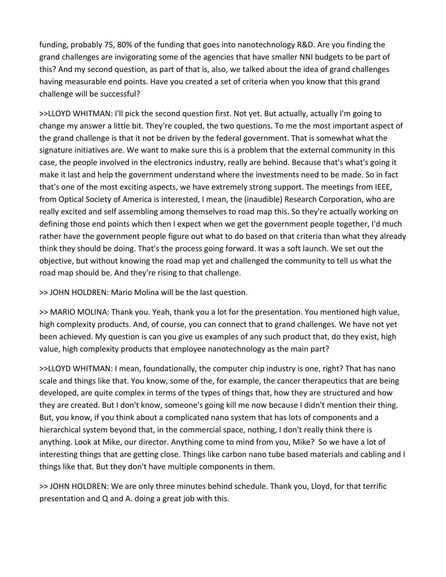funding, probably 75, 80% of the funding that goes into nanotechnology R&D. Are you finding the grand challenges are invigorating some of the agencies that have smaller NNI budgets to be part of this? And my second question, as part of that is, also, we talked about the idea of grand challenges having measurable end points. Have you created a set of criteria when you know that this grand challenge will be successful?

>>LLOYD WHITMAN: I'll pick the second question first. Not yet. But actually, actually I'm going to change my answer a little bit. They're coupled, the two questions. To me the most important aspect of the grand challenge is that it not be driven by the federal government. That is somewhat what the signature initiatives are. We want to make sure this is a problem that the external community in this case, the people involved in the electronics industry, really are behind. Because that's what's going it make it last and help the government understand where the investments need to be made. So in fact that's one of the most exciting aspects, we have extremely strong support. The meetings from IEEE, from Optical Society of America is interested, I mean, the (inaudible) Research Corporation, who are really excited and self assembling among themselves to road map this. So they're actually working on defining those end points which then I expect when we get the government people together, I'd much rather have the government people figure out what to do based on that criteria than what they already think they should be doing. That's the process going forward. It was a soft launch. We set out the objective, but without knowing the road map yet and challenged the community to tell us what the road map should be. And they're rising to that challenge.

>> JOHN HOLDREN: Mario Molina will be the last question.

>> MARIO MOLINA: Thank you. Yeah, thank you a lot for the presentation. You mentioned high value, high complexity products. And, of course, you can connect that to grand challenges. We have not yet been achieved. My question is can you give us examples of any such product that, do they exist, high value, high complexity products that employee nanotechnology as the main part?

>>LLOYD WHITMAN: I mean, foundationally, the computer chip industry is one, right? That has nano scale and things like that. You know, some of the, for example, the cancer therapeutics that are being developed, are quite complex in terms of the types of things that, how they are structured and how they are created. But I don't know, someone's going kill me now because I didn't mention their thing. But, you know, if you think about a complicated nano system that has lots of components and a hierarchical system beyond that, in the commercial space, nothing, I don't really think there is anything. Look at Mike, our director. Anything come to mind from you, Mike? So we have a lot of interesting things that are getting close. Things like carbon nano tube based materials and cabling and I things like that. But they don't have multiple components in them.

>> JOHN HOLDREN: We are only three minutes behind schedule. Thank you, Lloyd, for that terrific presentation and Q and A. doing a great job with this.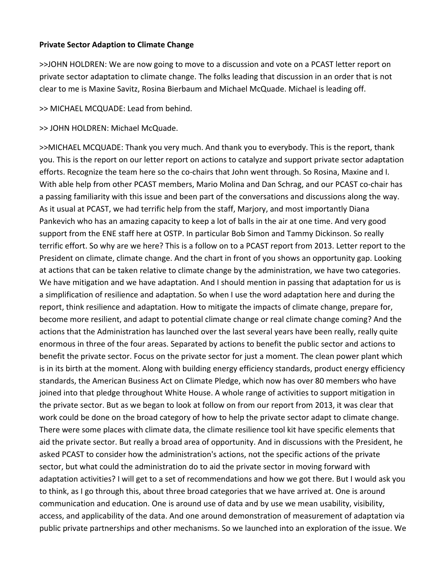#### **Private Sector Adaption to Climate Change**

>>JOHN HOLDREN: We are now going to move to a discussion and vote on a PCAST letter report on private sector adaptation to climate change. The folks leading that discussion in an order that is not clear to me is Maxine Savitz, Rosina Bierbaum and Michael McQuade. Michael is leading off.

>> MICHAEL MCQUADE: Lead from behind.

>> JOHN HOLDREN: Michael McQuade.

>>MICHAEL MCQUADE: Thank you very much. And thank you to everybody. This is the report, thank you. This is the report on our letter report on actions to catalyze and support private sector adaptation efforts. Recognize the team here so the co-chairs that John went through. So Rosina, Maxine and I. With able help from other PCAST members, Mario Molina and Dan Schrag, and our PCAST co-chair has a passing familiarity with this issue and been part of the conversations and discussions along the way. As it usual at PCAST, we had terrific help from the staff, Marjory, and most importantly Diana Pankevich who has an amazing capacity to keep a lot of balls in the air at one time. And very good support from the ENE staff here at OSTP. In particular Bob Simon and Tammy Dickinson. So really terrific effort. So why are we here? This is a follow on to a PCAST report from 2013. Letter report to the President on climate, climate change. And the chart in front of you shows an opportunity gap. Looking at actions that can be taken relative to climate change by the administration, we have two categories. We have mitigation and we have adaptation. And I should mention in passing that adaptation for us is a simplification of resilience and adaptation. So when I use the word adaptation here and during the report, think resilience and adaptation. How to mitigate the impacts of climate change, prepare for, become more resilient, and adapt to potential climate change or real climate change coming? And the actions that the Administration has launched over the last several years have been really, really quite enormous in three of the four areas. Separated by actions to benefit the public sector and actions to benefit the private sector. Focus on the private sector for just a moment. The clean power plant which is in its birth at the moment. Along with building energy efficiency standards, product energy efficiency standards, the American Business Act on Climate Pledge, which now has over 80 members who have joined into that pledge throughout White House. A whole range of activities to support mitigation in the private sector. But as we began to look at follow on from our report from 2013, it was clear that work could be done on the broad category of how to help the private sector adapt to climate change. There were some places with climate data, the climate resilience tool kit have specific elements that aid the private sector. But really a broad area of opportunity. And in discussions with the President, he asked PCAST to consider how the administration's actions, not the specific actions of the private sector, but what could the administration do to aid the private sector in moving forward with adaptation activities? I will get to a set of recommendations and how we got there. But I would ask you to think, as I go through this, about three broad categories that we have arrived at. One is around communication and education. One is around use of data and by use we mean usability, visibility, access, and applicability of the data. And one around demonstration of measurement of adaptation via public private partnerships and other mechanisms. So we launched into an exploration of the issue. We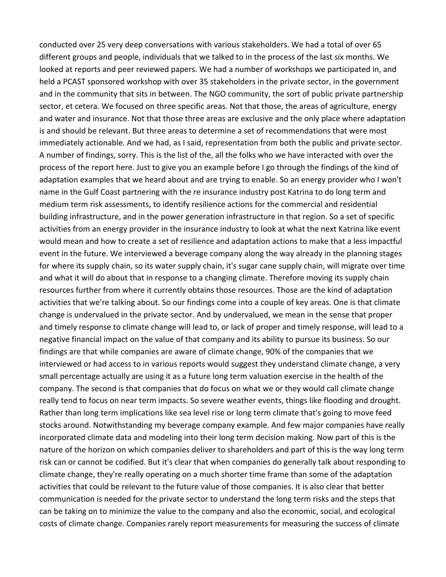conducted over 25 very deep conversations with various stakeholders. We had a total of over 65 different groups and people, individuals that we talked to in the process of the last six months. We looked at reports and peer reviewed papers. We had a number of workshops we participated in, and held a PCAST sponsored workshop with over 35 stakeholders in the private sector, in the government and in the community that sits in between. The NGO community, the sort of public private partnership sector, et cetera. We focused on three specific areas. Not that those, the areas of agriculture, energy and water and insurance. Not that those three areas are exclusive and the only place where adaptation is and should be relevant. But three areas to determine a set of recommendations that were most immediately actionable. And we had, as I said, representation from both the public and private sector. A number of findings, sorry. This is the list of the, all the folks who we have interacted with over the process of the report here. Just to give you an example before I go through the findings of the kind of adaptation examples that we heard about and are trying to enable. So an energy provider who I won't name in the Gulf Coast partnering with the re insurance industry post Katrina to do long term and medium term risk assessments, to identify resilience actions for the commercial and residential building infrastructure, and in the power generation infrastructure in that region. So a set of specific activities from an energy provider in the insurance industry to look at what the next Katrina like event would mean and how to create a set of resilience and adaptation actions to make that a less impactful event in the future. We interviewed a beverage company along the way already in the planning stages for where its supply chain, so its water supply chain, it's sugar cane supply chain, will migrate over time and what it will do about that in response to a changing climate. Therefore moving its supply chain resources further from where it currently obtains those resources. Those are the kind of adaptation activities that we're talking about. So our findings come into a couple of key areas. One is that climate change is undervalued in the private sector. And by undervalued, we mean in the sense that proper and timely response to climate change will lead to, or lack of proper and timely response, will lead to a negative financial impact on the value of that company and its ability to pursue its business. So our findings are that while companies are aware of climate change, 90% of the companies that we interviewed or had access to in various reports would suggest they understand climate change, a very small percentage actually are using it as a future long term valuation exercise in the health of the company. The second is that companies that do focus on what we or they would call climate change really tend to focus on near term impacts. So severe weather events, things like flooding and drought. Rather than long term implications like sea level rise or long term climate that's going to move feed stocks around. Notwithstanding my beverage company example. And few major companies have really incorporated climate data and modeling into their long term decision making. Now part of this is the nature of the horizon on which companies deliver to shareholders and part of this is the way long term risk can or cannot be codified. But it's clear that when companies do generally talk about responding to climate change, they're really operating on a much shorter time frame than some of the adaptation activities that could be relevant to the future value of those companies. It is also clear that better communication is needed for the private sector to understand the long term risks and the steps that can be taking on to minimize the value to the company and also the economic, social, and ecological costs of climate change. Companies rarely report measurements for measuring the success of climate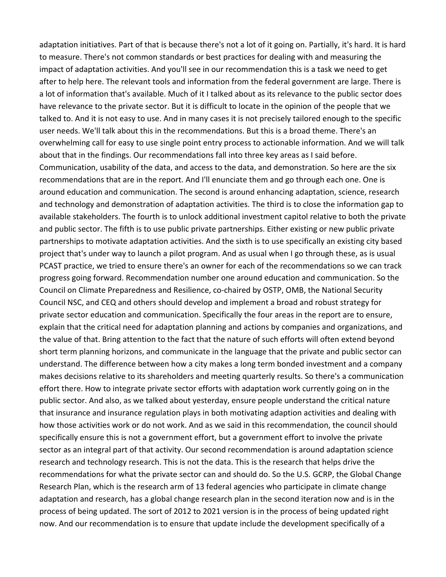adaptation initiatives. Part of that is because there's not a lot of it going on. Partially, it's hard. It is hard to measure. There's not common standards or best practices for dealing with and measuring the impact of adaptation activities. And you'll see in our recommendation this is a task we need to get after to help here. The relevant tools and information from the federal government are large. There is a lot of information that's available. Much of it I talked about as its relevance to the public sector does have relevance to the private sector. But it is difficult to locate in the opinion of the people that we talked to. And it is not easy to use. And in many cases it is not precisely tailored enough to the specific user needs. We'll talk about this in the recommendations. But this is a broad theme. There's an overwhelming call for easy to use single point entry process to actionable information. And we will talk about that in the findings. Our recommendations fall into three key areas as I said before. Communication, usability of the data, and access to the data, and demonstration. So here are the six recommendations that are in the report. And I'll enunciate them and go through each one. One is around education and communication. The second is around enhancing adaptation, science, research and technology and demonstration of adaptation activities. The third is to close the information gap to available stakeholders. The fourth is to unlock additional investment capitol relative to both the private and public sector. The fifth is to use public private partnerships. Either existing or new public private partnerships to motivate adaptation activities. And the sixth is to use specifically an existing city based project that's under way to launch a pilot program. And as usual when I go through these, as is usual PCAST practice, we tried to ensure there's an owner for each of the recommendations so we can track progress going forward. Recommendation number one around education and communication. So the Council on Climate Preparedness and Resilience, co‐chaired by OSTP, OMB, the National Security Council NSC, and CEQ and others should develop and implement a broad and robust strategy for private sector education and communication. Specifically the four areas in the report are to ensure, explain that the critical need for adaptation planning and actions by companies and organizations, and the value of that. Bring attention to the fact that the nature of such efforts will often extend beyond short term planning horizons, and communicate in the language that the private and public sector can understand. The difference between how a city makes a long term bonded investment and a company makes decisions relative to its shareholders and meeting quarterly results. So there's a communication effort there. How to integrate private sector efforts with adaptation work currently going on in the public sector. And also, as we talked about yesterday, ensure people understand the critical nature that insurance and insurance regulation plays in both motivating adaption activities and dealing with how those activities work or do not work. And as we said in this recommendation, the council should specifically ensure this is not a government effort, but a government effort to involve the private sector as an integral part of that activity. Our second recommendation is around adaptation science research and technology research. This is not the data. This is the research that helps drive the recommendations for what the private sector can and should do. So the U.S. GCRP, the Global Change Research Plan, which is the research arm of 13 federal agencies who participate in climate change adaptation and research, has a global change research plan in the second iteration now and is in the process of being updated. The sort of 2012 to 2021 version is in the process of being updated right now. And our recommendation is to ensure that update include the development specifically of a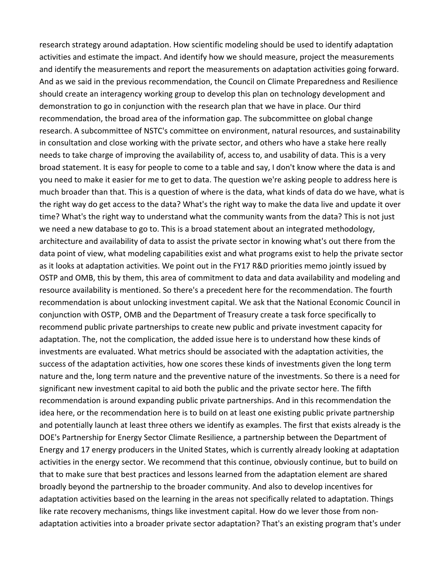research strategy around adaptation. How scientific modeling should be used to identify adaptation activities and estimate the impact. And identify how we should measure, project the measurements and identify the measurements and report the measurements on adaptation activities going forward. And as we said in the previous recommendation, the Council on Climate Preparedness and Resilience should create an interagency working group to develop this plan on technology development and demonstration to go in conjunction with the research plan that we have in place. Our third recommendation, the broad area of the information gap. The subcommittee on global change research. A subcommittee of NSTC's committee on environment, natural resources, and sustainability in consultation and close working with the private sector, and others who have a stake here really needs to take charge of improving the availability of, access to, and usability of data. This is a very broad statement. It is easy for people to come to a table and say, I don't know where the data is and you need to make it easier for me to get to data. The question we're asking people to address here is much broader than that. This is a question of where is the data, what kinds of data do we have, what is the right way do get access to the data? What's the right way to make the data live and update it over time? What's the right way to understand what the community wants from the data? This is not just we need a new database to go to. This is a broad statement about an integrated methodology, architecture and availability of data to assist the private sector in knowing what's out there from the data point of view, what modeling capabilities exist and what programs exist to help the private sector as it looks at adaptation activities. We point out in the FY17 R&D priorities memo jointly issued by OSTP and OMB, this by them, this area of commitment to data and data availability and modeling and resource availability is mentioned. So there's a precedent here for the recommendation. The fourth recommendation is about unlocking investment capital. We ask that the National Economic Council in conjunction with OSTP, OMB and the Department of Treasury create a task force specifically to recommend public private partnerships to create new public and private investment capacity for adaptation. The, not the complication, the added issue here is to understand how these kinds of investments are evaluated. What metrics should be associated with the adaptation activities, the success of the adaptation activities, how one scores these kinds of investments given the long term nature and the, long term nature and the preventive nature of the investments. So there is a need for significant new investment capital to aid both the public and the private sector here. The fifth recommendation is around expanding public private partnerships. And in this recommendation the idea here, or the recommendation here is to build on at least one existing public private partnership and potentially launch at least three others we identify as examples. The first that exists already is the DOE's Partnership for Energy Sector Climate Resilience, a partnership between the Department of Energy and 17 energy producers in the United States, which is currently already looking at adaptation activities in the energy sector. We recommend that this continue, obviously continue, but to build on that to make sure that best practices and lessons learned from the adaptation element are shared broadly beyond the partnership to the broader community. And also to develop incentives for adaptation activities based on the learning in the areas not specifically related to adaptation. Things like rate recovery mechanisms, things like investment capital. How do we lever those from non‐ adaptation activities into a broader private sector adaptation? That's an existing program that's under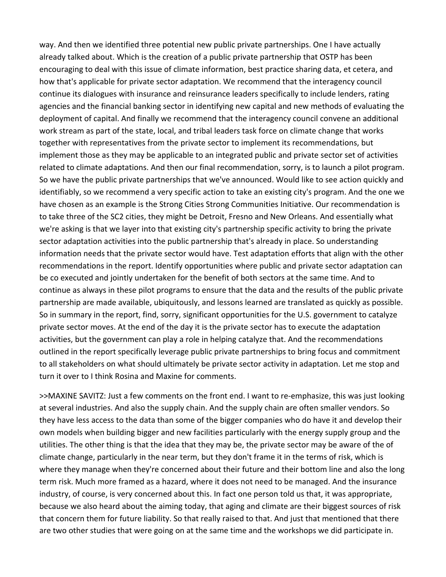way. And then we identified three potential new public private partnerships. One I have actually already talked about. Which is the creation of a public private partnership that OSTP has been encouraging to deal with this issue of climate information, best practice sharing data, et cetera, and how that's applicable for private sector adaptation. We recommend that the interagency council continue its dialogues with insurance and reinsurance leaders specifically to include lenders, rating agencies and the financial banking sector in identifying new capital and new methods of evaluating the deployment of capital. And finally we recommend that the interagency council convene an additional work stream as part of the state, local, and tribal leaders task force on climate change that works together with representatives from the private sector to implement its recommendations, but implement those as they may be applicable to an integrated public and private sector set of activities related to climate adaptations. And then our final recommendation, sorry, is to launch a pilot program. So we have the public private partnerships that we've announced. Would like to see action quickly and identifiably, so we recommend a very specific action to take an existing city's program. And the one we have chosen as an example is the Strong Cities Strong Communities Initiative. Our recommendation is to take three of the SC2 cities, they might be Detroit, Fresno and New Orleans. And essentially what we're asking is that we layer into that existing city's partnership specific activity to bring the private sector adaptation activities into the public partnership that's already in place. So understanding information needs that the private sector would have. Test adaptation efforts that align with the other recommendations in the report. Identify opportunities where public and private sector adaptation can be co executed and jointly undertaken for the benefit of both sectors at the same time. And to continue as always in these pilot programs to ensure that the data and the results of the public private partnership are made available, ubiquitously, and lessons learned are translated as quickly as possible. So in summary in the report, find, sorry, significant opportunities for the U.S. government to catalyze private sector moves. At the end of the day it is the private sector has to execute the adaptation activities, but the government can play a role in helping catalyze that. And the recommendations outlined in the report specifically leverage public private partnerships to bring focus and commitment to all stakeholders on what should ultimately be private sector activity in adaptation. Let me stop and turn it over to I think Rosina and Maxine for comments.

>>MAXINE SAVITZ: Just a few comments on the front end. I want to re‐emphasize, this was just looking at several industries. And also the supply chain. And the supply chain are often smaller vendors. So they have less access to the data than some of the bigger companies who do have it and develop their own models when building bigger and new facilities particularly with the energy supply group and the utilities. The other thing is that the idea that they may be, the private sector may be aware of the of climate change, particularly in the near term, but they don't frame it in the terms of risk, which is where they manage when they're concerned about their future and their bottom line and also the long term risk. Much more framed as a hazard, where it does not need to be managed. And the insurance industry, of course, is very concerned about this. In fact one person told us that, it was appropriate, because we also heard about the aiming today, that aging and climate are their biggest sources of risk that concern them for future liability. So that really raised to that. And just that mentioned that there are two other studies that were going on at the same time and the workshops we did participate in.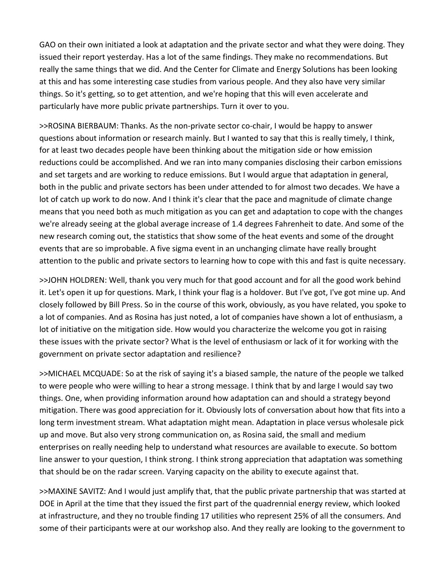GAO on their own initiated a look at adaptation and the private sector and what they were doing. They issued their report yesterday. Has a lot of the same findings. They make no recommendations. But really the same things that we did. And the Center for Climate and Energy Solutions has been looking at this and has some interesting case studies from various people. And they also have very similar things. So it's getting, so to get attention, and we're hoping that this will even accelerate and particularly have more public private partnerships. Turn it over to you.

>>ROSINA BIERBAUM: Thanks. As the non‐private sector co‐chair, I would be happy to answer questions about information or research mainly. But I wanted to say that this is really timely, I think, for at least two decades people have been thinking about the mitigation side or how emission reductions could be accomplished. And we ran into many companies disclosing their carbon emissions and set targets and are working to reduce emissions. But I would argue that adaptation in general, both in the public and private sectors has been under attended to for almost two decades. We have a lot of catch up work to do now. And I think it's clear that the pace and magnitude of climate change means that you need both as much mitigation as you can get and adaptation to cope with the changes we're already seeing at the global average increase of 1.4 degrees Fahrenheit to date. And some of the new research coming out, the statistics that show some of the heat events and some of the drought events that are so improbable. A five sigma event in an unchanging climate have really brought attention to the public and private sectors to learning how to cope with this and fast is quite necessary.

>>JOHN HOLDREN: Well, thank you very much for that good account and for all the good work behind it. Let's open it up for questions. Mark, I think your flag is a holdover. But I've got, I've got mine up. And closely followed by Bill Press. So in the course of this work, obviously, as you have related, you spoke to a lot of companies. And as Rosina has just noted, a lot of companies have shown a lot of enthusiasm, a lot of initiative on the mitigation side. How would you characterize the welcome you got in raising these issues with the private sector? What is the level of enthusiasm or lack of it for working with the government on private sector adaptation and resilience?

>>MICHAEL MCQUADE: So at the risk of saying it's a biased sample, the nature of the people we talked to were people who were willing to hear a strong message. I think that by and large I would say two things. One, when providing information around how adaptation can and should a strategy beyond mitigation. There was good appreciation for it. Obviously lots of conversation about how that fits into a long term investment stream. What adaptation might mean. Adaptation in place versus wholesale pick up and move. But also very strong communication on, as Rosina said, the small and medium enterprises on really needing help to understand what resources are available to execute. So bottom line answer to your question, I think strong. I think strong appreciation that adaptation was something that should be on the radar screen. Varying capacity on the ability to execute against that.

>>MAXINE SAVITZ: And I would just amplify that, that the public private partnership that was started at DOE in April at the time that they issued the first part of the quadrennial energy review, which looked at infrastructure, and they no trouble finding 17 utilities who represent 25% of all the consumers. And some of their participants were at our workshop also. And they really are looking to the government to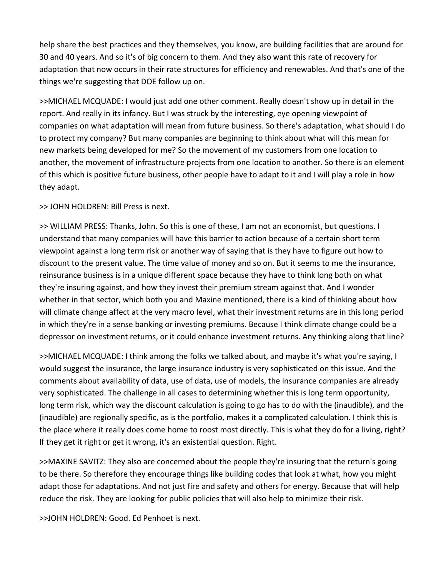help share the best practices and they themselves, you know, are building facilities that are around for 30 and 40 years. And so it's of big concern to them. And they also want this rate of recovery for adaptation that now occurs in their rate structures for efficiency and renewables. And that's one of the things we're suggesting that DOE follow up on.

>>MICHAEL MCQUADE: I would just add one other comment. Really doesn't show up in detail in the report. And really in its infancy. But I was struck by the interesting, eye opening viewpoint of companies on what adaptation will mean from future business. So there's adaptation, what should I do to protect my company? But many companies are beginning to think about what will this mean for new markets being developed for me? So the movement of my customers from one location to another, the movement of infrastructure projects from one location to another. So there is an element of this which is positive future business, other people have to adapt to it and I will play a role in how they adapt.

>> JOHN HOLDREN: Bill Press is next.

>> WILLIAM PRESS: Thanks, John. So this is one of these, I am not an economist, but questions. I understand that many companies will have this barrier to action because of a certain short term viewpoint against a long term risk or another way of saying that is they have to figure out how to discount to the present value. The time value of money and so on. But it seems to me the insurance, reinsurance business is in a unique different space because they have to think long both on what they're insuring against, and how they invest their premium stream against that. And I wonder whether in that sector, which both you and Maxine mentioned, there is a kind of thinking about how will climate change affect at the very macro level, what their investment returns are in this long period in which they're in a sense banking or investing premiums. Because I think climate change could be a depressor on investment returns, or it could enhance investment returns. Any thinking along that line?

>>MICHAEL MCQUADE: I think among the folks we talked about, and maybe it's what you're saying, I would suggest the insurance, the large insurance industry is very sophisticated on this issue. And the comments about availability of data, use of data, use of models, the insurance companies are already very sophisticated. The challenge in all cases to determining whether this is long term opportunity, long term risk, which way the discount calculation is going to go has to do with the (inaudible), and the (inaudible) are regionally specific, as is the portfolio, makes it a complicated calculation. I think this is the place where it really does come home to roost most directly. This is what they do for a living, right? If they get it right or get it wrong, it's an existential question. Right.

>>MAXINE SAVITZ: They also are concerned about the people they're insuring that the return's going to be there. So therefore they encourage things like building codes that look at what, how you might adapt those for adaptations. And not just fire and safety and others for energy. Because that will help reduce the risk. They are looking for public policies that will also help to minimize their risk.

>>JOHN HOLDREN: Good. Ed Penhoet is next.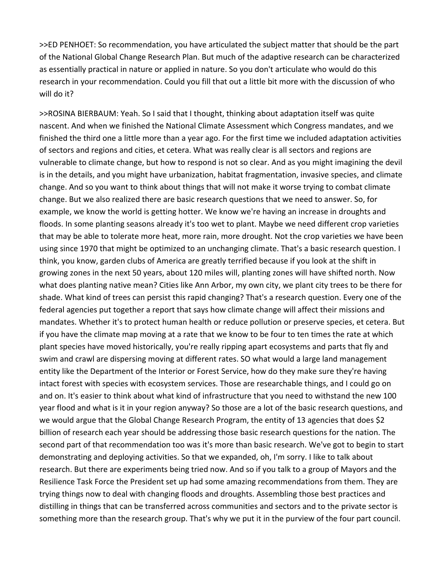>>ED PENHOET: So recommendation, you have articulated the subject matter that should be the part of the National Global Change Research Plan. But much of the adaptive research can be characterized as essentially practical in nature or applied in nature. So you don't articulate who would do this research in your recommendation. Could you fill that out a little bit more with the discussion of who will do it?

>>ROSINA BIERBAUM: Yeah. So I said that I thought, thinking about adaptation itself was quite nascent. And when we finished the National Climate Assessment which Congress mandates, and we finished the third one a little more than a year ago. For the first time we included adaptation activities of sectors and regions and cities, et cetera. What was really clear is all sectors and regions are vulnerable to climate change, but how to respond is not so clear. And as you might imagining the devil is in the details, and you might have urbanization, habitat fragmentation, invasive species, and climate change. And so you want to think about things that will not make it worse trying to combat climate change. But we also realized there are basic research questions that we need to answer. So, for example, we know the world is getting hotter. We know we're having an increase in droughts and floods. In some planting seasons already it's too wet to plant. Maybe we need different crop varieties that may be able to tolerate more heat, more rain, more drought. Not the crop varieties we have been using since 1970 that might be optimized to an unchanging climate. That's a basic research question. I think, you know, garden clubs of America are greatly terrified because if you look at the shift in growing zones in the next 50 years, about 120 miles will, planting zones will have shifted north. Now what does planting native mean? Cities like Ann Arbor, my own city, we plant city trees to be there for shade. What kind of trees can persist this rapid changing? That's a research question. Every one of the federal agencies put together a report that says how climate change will affect their missions and mandates. Whether it's to protect human health or reduce pollution or preserve species, et cetera. But if you have the climate map moving at a rate that we know to be four to ten times the rate at which plant species have moved historically, you're really ripping apart ecosystems and parts that fly and swim and crawl are dispersing moving at different rates. SO what would a large land management entity like the Department of the Interior or Forest Service, how do they make sure they're having intact forest with species with ecosystem services. Those are researchable things, and I could go on and on. It's easier to think about what kind of infrastructure that you need to withstand the new 100 year flood and what is it in your region anyway? So those are a lot of the basic research questions, and we would argue that the Global Change Research Program, the entity of 13 agencies that does \$2 billion of research each year should be addressing those basic research questions for the nation. The second part of that recommendation too was it's more than basic research. We've got to begin to start demonstrating and deploying activities. So that we expanded, oh, I'm sorry. I like to talk about research. But there are experiments being tried now. And so if you talk to a group of Mayors and the Resilience Task Force the President set up had some amazing recommendations from them. They are trying things now to deal with changing floods and droughts. Assembling those best practices and distilling in things that can be transferred across communities and sectors and to the private sector is something more than the research group. That's why we put it in the purview of the four part council.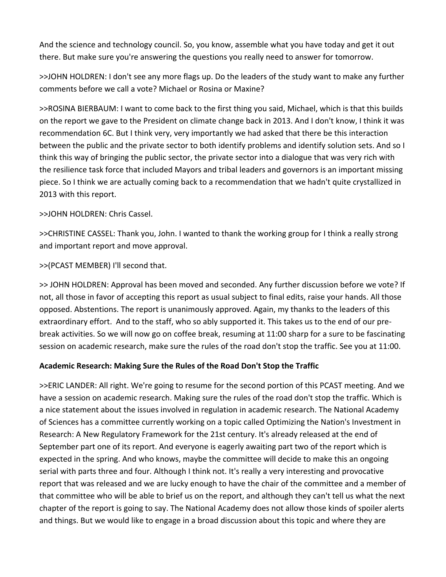And the science and technology council. So, you know, assemble what you have today and get it out there. But make sure you're answering the questions you really need to answer for tomorrow.

>>JOHN HOLDREN: I don't see any more flags up. Do the leaders of the study want to make any further comments before we call a vote? Michael or Rosina or Maxine?

>>ROSINA BIERBAUM: I want to come back to the first thing you said, Michael, which is that this builds on the report we gave to the President on climate change back in 2013. And I don't know, I think it was recommendation 6C. But I think very, very importantly we had asked that there be this interaction between the public and the private sector to both identify problems and identify solution sets. And so I think this way of bringing the public sector, the private sector into a dialogue that was very rich with the resilience task force that included Mayors and tribal leaders and governors is an important missing piece. So I think we are actually coming back to a recommendation that we hadn't quite crystallized in 2013 with this report.

>>JOHN HOLDREN: Chris Cassel.

>>CHRISTINE CASSEL: Thank you, John. I wanted to thank the working group for I think a really strong and important report and move approval.

>>(PCAST MEMBER) I'll second that.

>> JOHN HOLDREN: Approval has been moved and seconded. Any further discussion before we vote? If not, all those in favor of accepting this report as usual subject to final edits, raise your hands. All those opposed. Abstentions. The report is unanimously approved. Again, my thanks to the leaders of this extraordinary effort. And to the staff, who so ably supported it. This takes us to the end of our pre‐ break activities. So we will now go on coffee break, resuming at 11:00 sharp for a sure to be fascinating session on academic research, make sure the rules of the road don't stop the traffic. See you at 11:00.

## **Academic Research: Making Sure the Rules of the Road Don't Stop the Traffic**

>>ERIC LANDER: All right. We're going to resume for the second portion of this PCAST meeting. And we have a session on academic research. Making sure the rules of the road don't stop the traffic. Which is a nice statement about the issues involved in regulation in academic research. The National Academy of Sciences has a committee currently working on a topic called Optimizing the Nation's Investment in Research: A New Regulatory Framework for the 21st century. It's already released at the end of September part one of its report. And everyone is eagerly awaiting part two of the report which is expected in the spring. And who knows, maybe the committee will decide to make this an ongoing serial with parts three and four. Although I think not. It's really a very interesting and provocative report that was released and we are lucky enough to have the chair of the committee and a member of that committee who will be able to brief us on the report, and although they can't tell us what the next chapter of the report is going to say. The National Academy does not allow those kinds of spoiler alerts and things. But we would like to engage in a broad discussion about this topic and where they are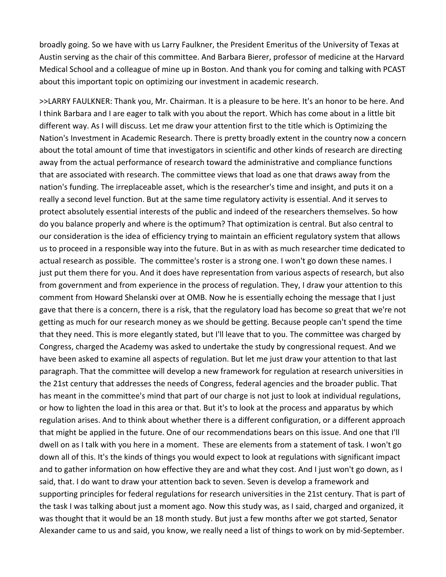broadly going. So we have with us Larry Faulkner, the President Emeritus of the University of Texas at Austin serving as the chair of this committee. And Barbara Bierer, professor of medicine at the Harvard Medical School and a colleague of mine up in Boston. And thank you for coming and talking with PCAST about this important topic on optimizing our investment in academic research.

>>LARRY FAULKNER: Thank you, Mr. Chairman. It is a pleasure to be here. It's an honor to be here. And I think Barbara and I are eager to talk with you about the report. Which has come about in a little bit different way. As I will discuss. Let me draw your attention first to the title which is Optimizing the Nation's Investment in Academic Research. There is pretty broadly extent in the country now a concern about the total amount of time that investigators in scientific and other kinds of research are directing away from the actual performance of research toward the administrative and compliance functions that are associated with research. The committee views that load as one that draws away from the nation's funding. The irreplaceable asset, which is the researcher's time and insight, and puts it on a really a second level function. But at the same time regulatory activity is essential. And it serves to protect absolutely essential interests of the public and indeed of the researchers themselves. So how do you balance properly and where is the optimum? That optimization is central. But also central to our consideration is the idea of efficiency trying to maintain an efficient regulatory system that allows us to proceed in a responsible way into the future. But in as with as much researcher time dedicated to actual research as possible. The committee's roster is a strong one. I won't go down these names. I just put them there for you. And it does have representation from various aspects of research, but also from government and from experience in the process of regulation. They, I draw your attention to this comment from Howard Shelanski over at OMB. Now he is essentially echoing the message that I just gave that there is a concern, there is a risk, that the regulatory load has become so great that we're not getting as much for our research money as we should be getting. Because people can't spend the time that they need. This is more elegantly stated, but I'll leave that to you. The committee was charged by Congress, charged the Academy was asked to undertake the study by congressional request. And we have been asked to examine all aspects of regulation. But let me just draw your attention to that last paragraph. That the committee will develop a new framework for regulation at research universities in the 21st century that addresses the needs of Congress, federal agencies and the broader public. That has meant in the committee's mind that part of our charge is not just to look at individual regulations, or how to lighten the load in this area or that. But it's to look at the process and apparatus by which regulation arises. And to think about whether there is a different configuration, or a different approach that might be applied in the future. One of our recommendations bears on this issue. And one that I'll dwell on as I talk with you here in a moment. These are elements from a statement of task. I won't go down all of this. It's the kinds of things you would expect to look at regulations with significant impact and to gather information on how effective they are and what they cost. And I just won't go down, as I said, that. I do want to draw your attention back to seven. Seven is develop a framework and supporting principles for federal regulations for research universities in the 21st century. That is part of the task I was talking about just a moment ago. Now this study was, as I said, charged and organized, it was thought that it would be an 18 month study. But just a few months after we got started, Senator Alexander came to us and said, you know, we really need a list of things to work on by mid‐September.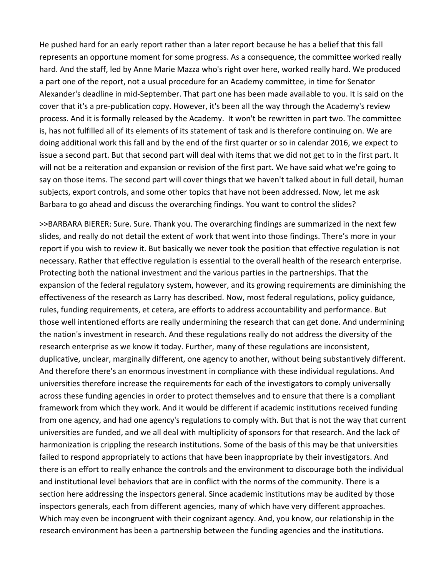He pushed hard for an early report rather than a later report because he has a belief that this fall represents an opportune moment for some progress. As a consequence, the committee worked really hard. And the staff, led by Anne Marie Mazza who's right over here, worked really hard. We produced a part one of the report, not a usual procedure for an Academy committee, in time for Senator Alexander's deadline in mid‐September. That part one has been made available to you. It is said on the cover that it's a pre‐publication copy. However, it's been all the way through the Academy's review process. And it is formally released by the Academy. It won't be rewritten in part two. The committee is, has not fulfilled all of its elements of its statement of task and is therefore continuing on. We are doing additional work this fall and by the end of the first quarter or so in calendar 2016, we expect to issue a second part. But that second part will deal with items that we did not get to in the first part. It will not be a reiteration and expansion or revision of the first part. We have said what we're going to say on those items. The second part will cover things that we haven't talked about in full detail, human subjects, export controls, and some other topics that have not been addressed. Now, let me ask Barbara to go ahead and discuss the overarching findings. You want to control the slides?

>>BARBARA BIERER: Sure. Sure. Thank you. The overarching findings are summarized in the next few slides, and really do not detail the extent of work that went into those findings. There's more in your report if you wish to review it. But basically we never took the position that effective regulation is not necessary. Rather that effective regulation is essential to the overall health of the research enterprise. Protecting both the national investment and the various parties in the partnerships. That the expansion of the federal regulatory system, however, and its growing requirements are diminishing the effectiveness of the research as Larry has described. Now, most federal regulations, policy guidance, rules, funding requirements, et cetera, are efforts to address accountability and performance. But those well intentioned efforts are really undermining the research that can get done. And undermining the nation's investment in research. And these regulations really do not address the diversity of the research enterprise as we know it today. Further, many of these regulations are inconsistent, duplicative, unclear, marginally different, one agency to another, without being substantively different. And therefore there's an enormous investment in compliance with these individual regulations. And universities therefore increase the requirements for each of the investigators to comply universally across these funding agencies in order to protect themselves and to ensure that there is a compliant framework from which they work. And it would be different if academic institutions received funding from one agency, and had one agency's regulations to comply with. But that is not the way that current universities are funded, and we all deal with multiplicity of sponsors for that research. And the lack of harmonization is crippling the research institutions. Some of the basis of this may be that universities failed to respond appropriately to actions that have been inappropriate by their investigators. And there is an effort to really enhance the controls and the environment to discourage both the individual and institutional level behaviors that are in conflict with the norms of the community. There is a section here addressing the inspectors general. Since academic institutions may be audited by those inspectors generals, each from different agencies, many of which have very different approaches. Which may even be incongruent with their cognizant agency. And, you know, our relationship in the research environment has been a partnership between the funding agencies and the institutions.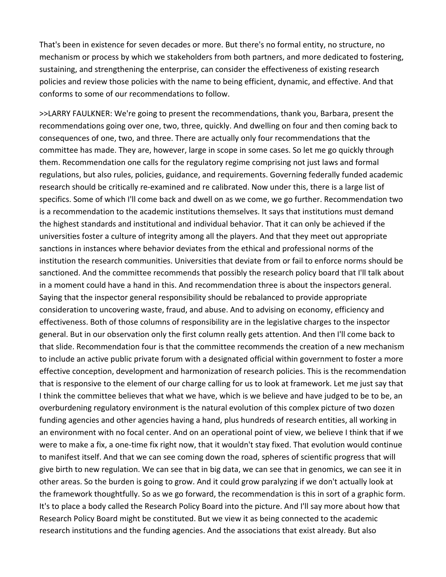That's been in existence for seven decades or more. But there's no formal entity, no structure, no mechanism or process by which we stakeholders from both partners, and more dedicated to fostering, sustaining, and strengthening the enterprise, can consider the effectiveness of existing research policies and review those policies with the name to being efficient, dynamic, and effective. And that conforms to some of our recommendations to follow.

>>LARRY FAULKNER: We're going to present the recommendations, thank you, Barbara, present the recommendations going over one, two, three, quickly. And dwelling on four and then coming back to consequences of one, two, and three. There are actually only four recommendations that the committee has made. They are, however, large in scope in some cases. So let me go quickly through them. Recommendation one calls for the regulatory regime comprising not just laws and formal regulations, but also rules, policies, guidance, and requirements. Governing federally funded academic research should be critically re‐examined and re calibrated. Now under this, there is a large list of specifics. Some of which I'll come back and dwell on as we come, we go further. Recommendation two is a recommendation to the academic institutions themselves. It says that institutions must demand the highest standards and institutional and individual behavior. That it can only be achieved if the universities foster a culture of integrity among all the players. And that they meet out appropriate sanctions in instances where behavior deviates from the ethical and professional norms of the institution the research communities. Universities that deviate from or fail to enforce norms should be sanctioned. And the committee recommends that possibly the research policy board that I'll talk about in a moment could have a hand in this. And recommendation three is about the inspectors general. Saying that the inspector general responsibility should be rebalanced to provide appropriate consideration to uncovering waste, fraud, and abuse. And to advising on economy, efficiency and effectiveness. Both of those columns of responsibility are in the legislative charges to the inspector general. But in our observation only the first column really gets attention. And then I'll come back to that slide. Recommendation four is that the committee recommends the creation of a new mechanism to include an active public private forum with a designated official within government to foster a more effective conception, development and harmonization of research policies. This is the recommendation that is responsive to the element of our charge calling for us to look at framework. Let me just say that I think the committee believes that what we have, which is we believe and have judged to be to be, an overburdening regulatory environment is the natural evolution of this complex picture of two dozen funding agencies and other agencies having a hand, plus hundreds of research entities, all working in an environment with no focal center. And on an operational point of view, we believe I think that if we were to make a fix, a one-time fix right now, that it wouldn't stay fixed. That evolution would continue to manifest itself. And that we can see coming down the road, spheres of scientific progress that will give birth to new regulation. We can see that in big data, we can see that in genomics, we can see it in other areas. So the burden is going to grow. And it could grow paralyzing if we don't actually look at the framework thoughtfully. So as we go forward, the recommendation is this in sort of a graphic form. It's to place a body called the Research Policy Board into the picture. And I'll say more about how that Research Policy Board might be constituted. But we view it as being connected to the academic research institutions and the funding agencies. And the associations that exist already. But also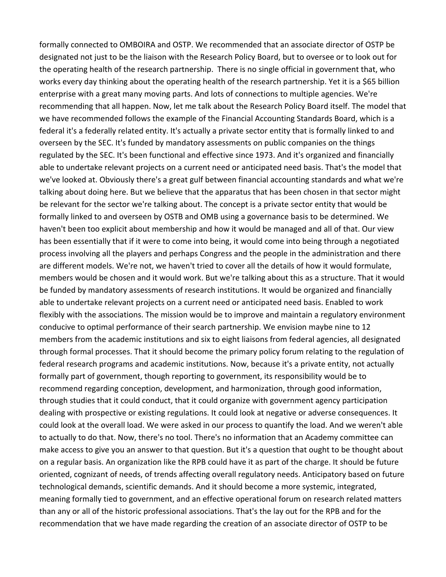formally connected to OMBOIRA and OSTP. We recommended that an associate director of OSTP be designated not just to be the liaison with the Research Policy Board, but to oversee or to look out for the operating health of the research partnership. There is no single official in government that, who works every day thinking about the operating health of the research partnership. Yet it is a \$65 billion enterprise with a great many moving parts. And lots of connections to multiple agencies. We're recommending that all happen. Now, let me talk about the Research Policy Board itself. The model that we have recommended follows the example of the Financial Accounting Standards Board, which is a federal it's a federally related entity. It's actually a private sector entity that is formally linked to and overseen by the SEC. It's funded by mandatory assessments on public companies on the things regulated by the SEC. It's been functional and effective since 1973. And it's organized and financially able to undertake relevant projects on a current need or anticipated need basis. That's the model that we've looked at. Obviously there's a great gulf between financial accounting standards and what we're talking about doing here. But we believe that the apparatus that has been chosen in that sector might be relevant for the sector we're talking about. The concept is a private sector entity that would be formally linked to and overseen by OSTB and OMB using a governance basis to be determined. We haven't been too explicit about membership and how it would be managed and all of that. Our view has been essentially that if it were to come into being, it would come into being through a negotiated process involving all the players and perhaps Congress and the people in the administration and there are different models. We're not, we haven't tried to cover all the details of how it would formulate, members would be chosen and it would work. But we're talking about this as a structure. That it would be funded by mandatory assessments of research institutions. It would be organized and financially able to undertake relevant projects on a current need or anticipated need basis. Enabled to work flexibly with the associations. The mission would be to improve and maintain a regulatory environment conducive to optimal performance of their search partnership. We envision maybe nine to 12 members from the academic institutions and six to eight liaisons from federal agencies, all designated through formal processes. That it should become the primary policy forum relating to the regulation of federal research programs and academic institutions. Now, because it's a private entity, not actually formally part of government, though reporting to government, its responsibility would be to recommend regarding conception, development, and harmonization, through good information, through studies that it could conduct, that it could organize with government agency participation dealing with prospective or existing regulations. It could look at negative or adverse consequences. It could look at the overall load. We were asked in our process to quantify the load. And we weren't able to actually to do that. Now, there's no tool. There's no information that an Academy committee can make access to give you an answer to that question. But it's a question that ought to be thought about on a regular basis. An organization like the RPB could have it as part of the charge. It should be future oriented, cognizant of needs, of trends affecting overall regulatory needs. Anticipatory based on future technological demands, scientific demands. And it should become a more systemic, integrated, meaning formally tied to government, and an effective operational forum on research related matters than any or all of the historic professional associations. That's the lay out for the RPB and for the recommendation that we have made regarding the creation of an associate director of OSTP to be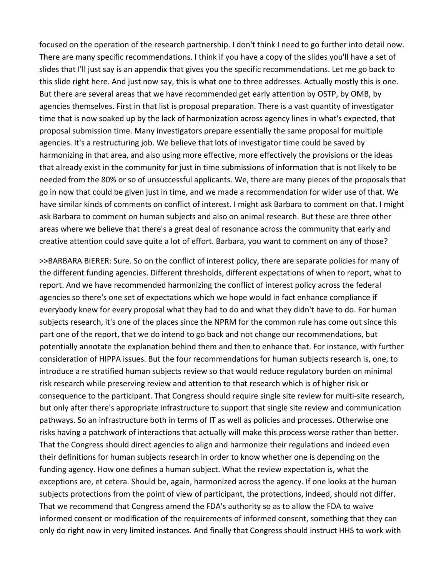focused on the operation of the research partnership. I don't think I need to go further into detail now. There are many specific recommendations. I think if you have a copy of the slides you'll have a set of slides that I'll just say is an appendix that gives you the specific recommendations. Let me go back to this slide right here. And just now say, this is what one to three addresses. Actually mostly this is one. But there are several areas that we have recommended get early attention by OSTP, by OMB, by agencies themselves. First in that list is proposal preparation. There is a vast quantity of investigator time that is now soaked up by the lack of harmonization across agency lines in what's expected, that proposal submission time. Many investigators prepare essentially the same proposal for multiple agencies. It's a restructuring job. We believe that lots of investigator time could be saved by harmonizing in that area, and also using more effective, more effectively the provisions or the ideas that already exist in the community for just in time submissions of information that is not likely to be needed from the 80% or so of unsuccessful applicants. We, there are many pieces of the proposals that go in now that could be given just in time, and we made a recommendation for wider use of that. We have similar kinds of comments on conflict of interest. I might ask Barbara to comment on that. I might ask Barbara to comment on human subjects and also on animal research. But these are three other areas where we believe that there's a great deal of resonance across the community that early and creative attention could save quite a lot of effort. Barbara, you want to comment on any of those?

>>BARBARA BIERER: Sure. So on the conflict of interest policy, there are separate policies for many of the different funding agencies. Different thresholds, different expectations of when to report, what to report. And we have recommended harmonizing the conflict of interest policy across the federal agencies so there's one set of expectations which we hope would in fact enhance compliance if everybody knew for every proposal what they had to do and what they didn't have to do. For human subjects research, it's one of the places since the NPRM for the common rule has come out since this part one of the report, that we do intend to go back and not change our recommendations, but potentially annotate the explanation behind them and then to enhance that. For instance, with further consideration of HIPPA issues. But the four recommendations for human subjects research is, one, to introduce a re stratified human subjects review so that would reduce regulatory burden on minimal risk research while preserving review and attention to that research which is of higher risk or consequence to the participant. That Congress should require single site review for multi‐site research, but only after there's appropriate infrastructure to support that single site review and communication pathways. So an infrastructure both in terms of IT as well as policies and processes. Otherwise one risks having a patchwork of interactions that actually will make this process worse rather than better. That the Congress should direct agencies to align and harmonize their regulations and indeed even their definitions for human subjects research in order to know whether one is depending on the funding agency. How one defines a human subject. What the review expectation is, what the exceptions are, et cetera. Should be, again, harmonized across the agency. If one looks at the human subjects protections from the point of view of participant, the protections, indeed, should not differ. That we recommend that Congress amend the FDA's authority so as to allow the FDA to waive informed consent or modification of the requirements of informed consent, something that they can only do right now in very limited instances. And finally that Congress should instruct HHS to work with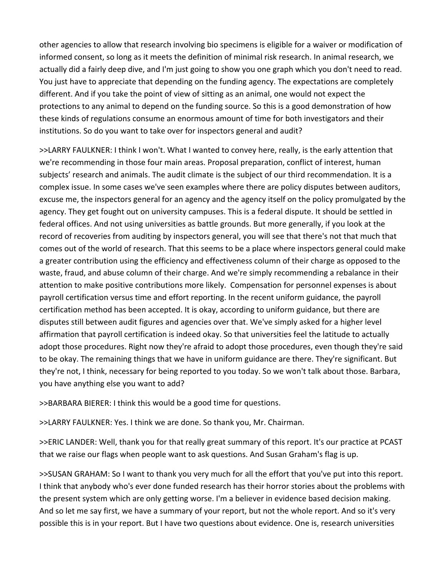other agencies to allow that research involving bio specimens is eligible for a waiver or modification of informed consent, so long as it meets the definition of minimal risk research. In animal research, we actually did a fairly deep dive, and I'm just going to show you one graph which you don't need to read. You just have to appreciate that depending on the funding agency. The expectations are completely different. And if you take the point of view of sitting as an animal, one would not expect the protections to any animal to depend on the funding source. So this is a good demonstration of how these kinds of regulations consume an enormous amount of time for both investigators and their institutions. So do you want to take over for inspectors general and audit?

>>LARRY FAULKNER: I think I won't. What I wanted to convey here, really, is the early attention that we're recommending in those four main areas. Proposal preparation, conflict of interest, human subjects' research and animals. The audit climate is the subject of our third recommendation. It is a complex issue. In some cases we've seen examples where there are policy disputes between auditors, excuse me, the inspectors general for an agency and the agency itself on the policy promulgated by the agency. They get fought out on university campuses. This is a federal dispute. It should be settled in federal offices. And not using universities as battle grounds. But more generally, if you look at the record of recoveries from auditing by inspectors general, you will see that there's not that much that comes out of the world of research. That this seems to be a place where inspectors general could make a greater contribution using the efficiency and effectiveness column of their charge as opposed to the waste, fraud, and abuse column of their charge. And we're simply recommending a rebalance in their attention to make positive contributions more likely. Compensation for personnel expenses is about payroll certification versus time and effort reporting. In the recent uniform guidance, the payroll certification method has been accepted. It is okay, according to uniform guidance, but there are disputes still between audit figures and agencies over that. We've simply asked for a higher level affirmation that payroll certification is indeed okay. So that universities feel the latitude to actually adopt those procedures. Right now they're afraid to adopt those procedures, even though they're said to be okay. The remaining things that we have in uniform guidance are there. They're significant. But they're not, I think, necessary for being reported to you today. So we won't talk about those. Barbara, you have anything else you want to add?

>>BARBARA BIERER: I think this would be a good time for questions.

>>LARRY FAULKNER: Yes. I think we are done. So thank you, Mr. Chairman.

>>ERIC LANDER: Well, thank you for that really great summary of this report. It's our practice at PCAST that we raise our flags when people want to ask questions. And Susan Graham's flag is up.

>>SUSAN GRAHAM: So I want to thank you very much for all the effort that you've put into this report. I think that anybody who's ever done funded research has their horror stories about the problems with the present system which are only getting worse. I'm a believer in evidence based decision making. And so let me say first, we have a summary of your report, but not the whole report. And so it's very possible this is in your report. But I have two questions about evidence. One is, research universities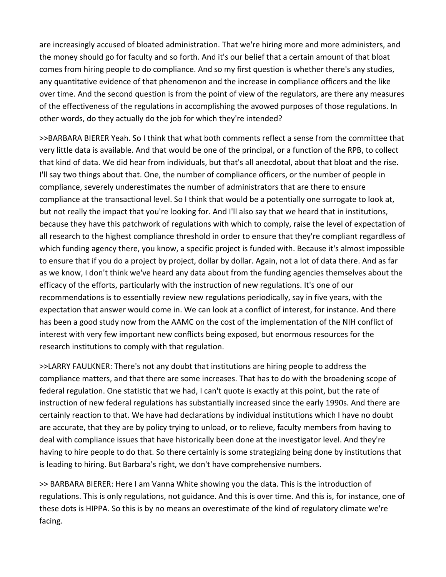are increasingly accused of bloated administration. That we're hiring more and more administers, and the money should go for faculty and so forth. And it's our belief that a certain amount of that bloat comes from hiring people to do compliance. And so my first question is whether there's any studies, any quantitative evidence of that phenomenon and the increase in compliance officers and the like over time. And the second question is from the point of view of the regulators, are there any measures of the effectiveness of the regulations in accomplishing the avowed purposes of those regulations. In other words, do they actually do the job for which they're intended?

>>BARBARA BIERER Yeah. So I think that what both comments reflect a sense from the committee that very little data is available. And that would be one of the principal, or a function of the RPB, to collect that kind of data. We did hear from individuals, but that's all anecdotal, about that bloat and the rise. I'll say two things about that. One, the number of compliance officers, or the number of people in compliance, severely underestimates the number of administrators that are there to ensure compliance at the transactional level. So I think that would be a potentially one surrogate to look at, but not really the impact that you're looking for. And I'll also say that we heard that in institutions, because they have this patchwork of regulations with which to comply, raise the level of expectation of all research to the highest compliance threshold in order to ensure that they're compliant regardless of which funding agency there, you know, a specific project is funded with. Because it's almost impossible to ensure that if you do a project by project, dollar by dollar. Again, not a lot of data there. And as far as we know, I don't think we've heard any data about from the funding agencies themselves about the efficacy of the efforts, particularly with the instruction of new regulations. It's one of our recommendations is to essentially review new regulations periodically, say in five years, with the expectation that answer would come in. We can look at a conflict of interest, for instance. And there has been a good study now from the AAMC on the cost of the implementation of the NIH conflict of interest with very few important new conflicts being exposed, but enormous resources for the research institutions to comply with that regulation.

>>LARRY FAULKNER: There's not any doubt that institutions are hiring people to address the compliance matters, and that there are some increases. That has to do with the broadening scope of federal regulation. One statistic that we had, I can't quote is exactly at this point, but the rate of instruction of new federal regulations has substantially increased since the early 1990s. And there are certainly reaction to that. We have had declarations by individual institutions which I have no doubt are accurate, that they are by policy trying to unload, or to relieve, faculty members from having to deal with compliance issues that have historically been done at the investigator level. And they're having to hire people to do that. So there certainly is some strategizing being done by institutions that is leading to hiring. But Barbara's right, we don't have comprehensive numbers.

>> BARBARA BIERER: Here I am Vanna White showing you the data. This is the introduction of regulations. This is only regulations, not guidance. And this is over time. And this is, for instance, one of these dots is HIPPA. So this is by no means an overestimate of the kind of regulatory climate we're facing.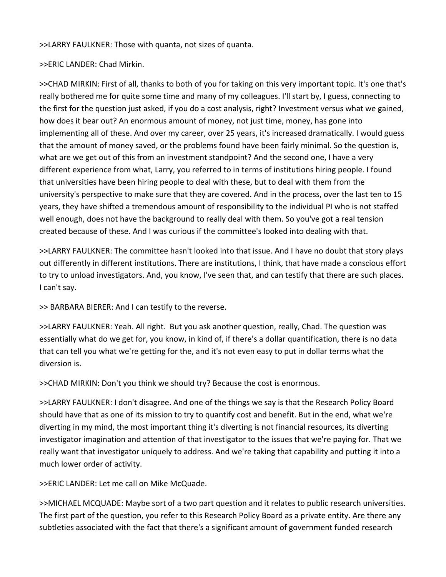>>LARRY FAULKNER: Those with quanta, not sizes of quanta.

### >>ERIC LANDER: Chad Mirkin.

>>CHAD MIRKIN: First of all, thanks to both of you for taking on this very important topic. It's one that's really bothered me for quite some time and many of my colleagues. I'll start by, I guess, connecting to the first for the question just asked, if you do a cost analysis, right? Investment versus what we gained, how does it bear out? An enormous amount of money, not just time, money, has gone into implementing all of these. And over my career, over 25 years, it's increased dramatically. I would guess that the amount of money saved, or the problems found have been fairly minimal. So the question is, what are we get out of this from an investment standpoint? And the second one, I have a very different experience from what, Larry, you referred to in terms of institutions hiring people. I found that universities have been hiring people to deal with these, but to deal with them from the university's perspective to make sure that they are covered. And in the process, over the last ten to 15 years, they have shifted a tremendous amount of responsibility to the individual PI who is not staffed well enough, does not have the background to really deal with them. So you've got a real tension created because of these. And I was curious if the committee's looked into dealing with that.

>>LARRY FAULKNER: The committee hasn't looked into that issue. And I have no doubt that story plays out differently in different institutions. There are institutions, I think, that have made a conscious effort to try to unload investigators. And, you know, I've seen that, and can testify that there are such places. I can't say.

>> BARBARA BIERER: And I can testify to the reverse.

>>LARRY FAULKNER: Yeah. All right. But you ask another question, really, Chad. The question was essentially what do we get for, you know, in kind of, if there's a dollar quantification, there is no data that can tell you what we're getting for the, and it's not even easy to put in dollar terms what the diversion is.

>>CHAD MIRKIN: Don't you think we should try? Because the cost is enormous.

>>LARRY FAULKNER: I don't disagree. And one of the things we say is that the Research Policy Board should have that as one of its mission to try to quantify cost and benefit. But in the end, what we're diverting in my mind, the most important thing it's diverting is not financial resources, its diverting investigator imagination and attention of that investigator to the issues that we're paying for. That we really want that investigator uniquely to address. And we're taking that capability and putting it into a much lower order of activity.

>>ERIC LANDER: Let me call on Mike McQuade.

>>MICHAEL MCQUADE: Maybe sort of a two part question and it relates to public research universities. The first part of the question, you refer to this Research Policy Board as a private entity. Are there any subtleties associated with the fact that there's a significant amount of government funded research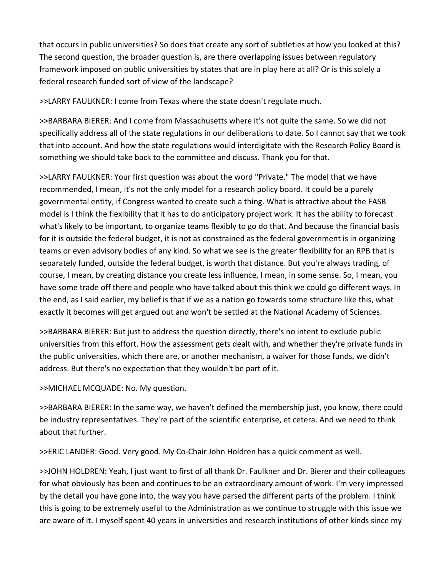that occurs in public universities? So does that create any sort of subtleties at how you looked at this? The second question, the broader question is, are there overlapping issues between regulatory framework imposed on public universities by states that are in play here at all? Or is this solely a federal research funded sort of view of the landscape?

>>LARRY FAULKNER: I come from Texas where the state doesn't regulate much.

>>BARBARA BIERER: And I come from Massachusetts where it's not quite the same. So we did not specifically address all of the state regulations in our deliberations to date. So I cannot say that we took that into account. And how the state regulations would interdigitate with the Research Policy Board is something we should take back to the committee and discuss. Thank you for that.

>>LARRY FAULKNER: Your first question was about the word "Private." The model that we have recommended, I mean, it's not the only model for a research policy board. It could be a purely governmental entity, if Congress wanted to create such a thing. What is attractive about the FASB model is I think the flexibility that it has to do anticipatory project work. It has the ability to forecast what's likely to be important, to organize teams flexibly to go do that. And because the financial basis for it is outside the federal budget, it is not as constrained as the federal government is in organizing teams or even advisory bodies of any kind. So what we see is the greater flexibility for an RPB that is separately funded, outside the federal budget, is worth that distance. But you're always trading, of course, I mean, by creating distance you create less influence, I mean, in some sense. So, I mean, you have some trade off there and people who have talked about this think we could go different ways. In the end, as I said earlier, my belief is that if we as a nation go towards some structure like this, what exactly it becomes will get argued out and won't be settled at the National Academy of Sciences.

>>BARBARA BIERER: But just to address the question directly, there's no intent to exclude public universities from this effort. How the assessment gets dealt with, and whether they're private funds in the public universities, which there are, or another mechanism, a waiver for those funds, we didn't address. But there's no expectation that they wouldn't be part of it.

>>MICHAEL MCQUADE: No. My question.

>>BARBARA BIERER: In the same way, we haven't defined the membership just, you know, there could be industry representatives. They're part of the scientific enterprise, et cetera. And we need to think about that further.

>>ERIC LANDER: Good. Very good. My Co‐Chair John Holdren has a quick comment as well.

>>JOHN HOLDREN: Yeah, I just want to first of all thank Dr. Faulkner and Dr. Bierer and their colleagues for what obviously has been and continues to be an extraordinary amount of work. I'm very impressed by the detail you have gone into, the way you have parsed the different parts of the problem. I think this is going to be extremely useful to the Administration as we continue to struggle with this issue we are aware of it. I myself spent 40 years in universities and research institutions of other kinds since my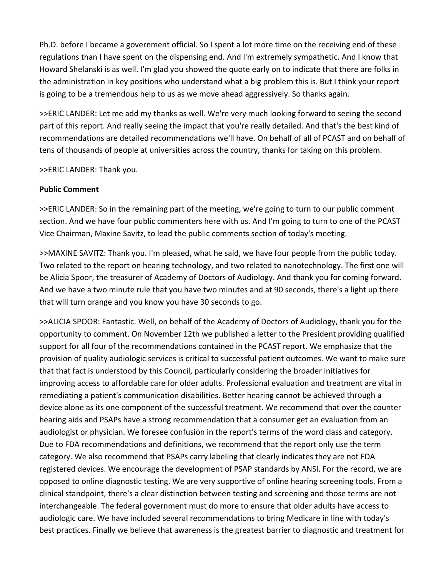Ph.D. before I became a government official. So I spent a lot more time on the receiving end of these regulations than I have spent on the dispensing end. And I'm extremely sympathetic. And I know that Howard Shelanski is as well. I'm glad you showed the quote early on to indicate that there are folks in the administration in key positions who understand what a big problem this is. But I think your report is going to be a tremendous help to us as we move ahead aggressively. So thanks again.

>>ERIC LANDER: Let me add my thanks as well. We're very much looking forward to seeing the second part of this report. And really seeing the impact that you're really detailed. And that's the best kind of recommendations are detailed recommendations we'll have. On behalf of all of PCAST and on behalf of tens of thousands of people at universities across the country, thanks for taking on this problem.

>>ERIC LANDER: Thank you.

### **Public Comment**

>>ERIC LANDER: So in the remaining part of the meeting, we're going to turn to our public comment section. And we have four public commenters here with us. And I'm going to turn to one of the PCAST Vice Chairman, Maxine Savitz, to lead the public comments section of today's meeting.

>>MAXINE SAVITZ: Thank you. I'm pleased, what he said, we have four people from the public today. Two related to the report on hearing technology, and two related to nanotechnology. The first one will be Alicia Spoor, the treasurer of Academy of Doctors of Audiology. And thank you for coming forward. And we have a two minute rule that you have two minutes and at 90 seconds, there's a light up there that will turn orange and you know you have 30 seconds to go.

>>ALICIA SPOOR: Fantastic. Well, on behalf of the Academy of Doctors of Audiology, thank you for the opportunity to comment. On November 12th we published a letter to the President providing qualified support for all four of the recommendations contained in the PCAST report. We emphasize that the provision of quality audiologic services is critical to successful patient outcomes. We want to make sure that that fact is understood by this Council, particularly considering the broader initiatives for improving access to affordable care for older adults. Professional evaluation and treatment are vital in remediating a patient's communication disabilities. Better hearing cannot be achieved through a device alone as its one component of the successful treatment. We recommend that over the counter hearing aids and PSAPs have a strong recommendation that a consumer get an evaluation from an audiologist or physician. We foresee confusion in the report's terms of the word class and category. Due to FDA recommendations and definitions, we recommend that the report only use the term category. We also recommend that PSAPs carry labeling that clearly indicates they are not FDA registered devices. We encourage the development of PSAP standards by ANSI. For the record, we are opposed to online diagnostic testing. We are very supportive of online hearing screening tools. From a clinical standpoint, there's a clear distinction between testing and screening and those terms are not interchangeable. The federal government must do more to ensure that older adults have access to audiologic care. We have included several recommendations to bring Medicare in line with today's best practices. Finally we believe that awareness is the greatest barrier to diagnostic and treatment for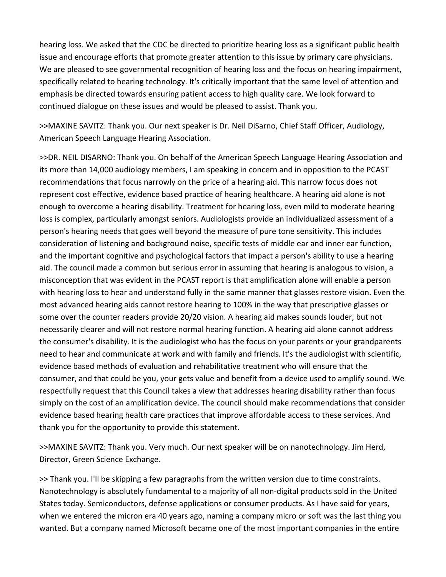hearing loss. We asked that the CDC be directed to prioritize hearing loss as a significant public health issue and encourage efforts that promote greater attention to this issue by primary care physicians. We are pleased to see governmental recognition of hearing loss and the focus on hearing impairment, specifically related to hearing technology. It's critically important that the same level of attention and emphasis be directed towards ensuring patient access to high quality care. We look forward to continued dialogue on these issues and would be pleased to assist. Thank you.

>>MAXINE SAVITZ: Thank you. Our next speaker is Dr. Neil DiSarno, Chief Staff Officer, Audiology, American Speech Language Hearing Association.

>>DR. NEIL DISARNO: Thank you. On behalf of the American Speech Language Hearing Association and its more than 14,000 audiology members, I am speaking in concern and in opposition to the PCAST recommendations that focus narrowly on the price of a hearing aid. This narrow focus does not represent cost effective, evidence based practice of hearing healthcare. A hearing aid alone is not enough to overcome a hearing disability. Treatment for hearing loss, even mild to moderate hearing loss is complex, particularly amongst seniors. Audiologists provide an individualized assessment of a person's hearing needs that goes well beyond the measure of pure tone sensitivity. This includes consideration of listening and background noise, specific tests of middle ear and inner ear function, and the important cognitive and psychological factors that impact a person's ability to use a hearing aid. The council made a common but serious error in assuming that hearing is analogous to vision, a misconception that was evident in the PCAST report is that amplification alone will enable a person with hearing loss to hear and understand fully in the same manner that glasses restore vision. Even the most advanced hearing aids cannot restore hearing to 100% in the way that prescriptive glasses or some over the counter readers provide 20/20 vision. A hearing aid makes sounds louder, but not necessarily clearer and will not restore normal hearing function. A hearing aid alone cannot address the consumer's disability. It is the audiologist who has the focus on your parents or your grandparents need to hear and communicate at work and with family and friends. It's the audiologist with scientific, evidence based methods of evaluation and rehabilitative treatment who will ensure that the consumer, and that could be you, your gets value and benefit from a device used to amplify sound. We respectfully request that this Council takes a view that addresses hearing disability rather than focus simply on the cost of an amplification device. The council should make recommendations that consider evidence based hearing health care practices that improve affordable access to these services. And thank you for the opportunity to provide this statement.

>>MAXINE SAVITZ: Thank you. Very much. Our next speaker will be on nanotechnology. Jim Herd, Director, Green Science Exchange.

>> Thank you. I'll be skipping a few paragraphs from the written version due to time constraints. Nanotechnology is absolutely fundamental to a majority of all non‐digital products sold in the United States today. Semiconductors, defense applications or consumer products. As I have said for years, when we entered the micron era 40 years ago, naming a company micro or soft was the last thing you wanted. But a company named Microsoft became one of the most important companies in the entire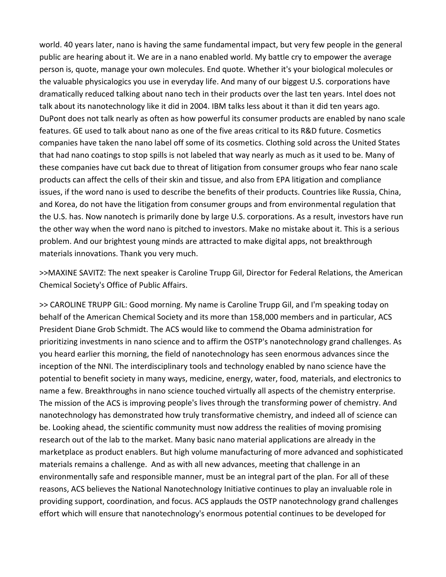world. 40 years later, nano is having the same fundamental impact, but very few people in the general public are hearing about it. We are in a nano enabled world. My battle cry to empower the average person is, quote, manage your own molecules. End quote. Whether it's your biological molecules or the valuable physicalogics you use in everyday life. And many of our biggest U.S. corporations have dramatically reduced talking about nano tech in their products over the last ten years. Intel does not talk about its nanotechnology like it did in 2004. IBM talks less about it than it did ten years ago. DuPont does not talk nearly as often as how powerful its consumer products are enabled by nano scale features. GE used to talk about nano as one of the five areas critical to its R&D future. Cosmetics companies have taken the nano label off some of its cosmetics. Clothing sold across the United States that had nano coatings to stop spills is not labeled that way nearly as much as it used to be. Many of these companies have cut back due to threat of litigation from consumer groups who fear nano scale products can affect the cells of their skin and tissue, and also from EPA litigation and compliance issues, if the word nano is used to describe the benefits of their products. Countries like Russia, China, and Korea, do not have the litigation from consumer groups and from environmental regulation that the U.S. has. Now nanotech is primarily done by large U.S. corporations. As a result, investors have run the other way when the word nano is pitched to investors. Make no mistake about it. This is a serious problem. And our brightest young minds are attracted to make digital apps, not breakthrough materials innovations. Thank you very much.

>>MAXINE SAVITZ: The next speaker is Caroline Trupp Gil, Director for Federal Relations, the American Chemical Society's Office of Public Affairs.

>> CAROLINE TRUPP GIL: Good morning. My name is Caroline Trupp Gil, and I'm speaking today on behalf of the American Chemical Society and its more than 158,000 members and in particular, ACS President Diane Grob Schmidt. The ACS would like to commend the Obama administration for prioritizing investments in nano science and to affirm the OSTP's nanotechnology grand challenges. As you heard earlier this morning, the field of nanotechnology has seen enormous advances since the inception of the NNI. The interdisciplinary tools and technology enabled by nano science have the potential to benefit society in many ways, medicine, energy, water, food, materials, and electronics to name a few. Breakthroughs in nano science touched virtually all aspects of the chemistry enterprise. The mission of the ACS is improving people's lives through the transforming power of chemistry. And nanotechnology has demonstrated how truly transformative chemistry, and indeed all of science can be. Looking ahead, the scientific community must now address the realities of moving promising research out of the lab to the market. Many basic nano material applications are already in the marketplace as product enablers. But high volume manufacturing of more advanced and sophisticated materials remains a challenge. And as with all new advances, meeting that challenge in an environmentally safe and responsible manner, must be an integral part of the plan. For all of these reasons, ACS believes the National Nanotechnology Initiative continues to play an invaluable role in providing support, coordination, and focus. ACS applauds the OSTP nanotechnology grand challenges effort which will ensure that nanotechnology's enormous potential continues to be developed for